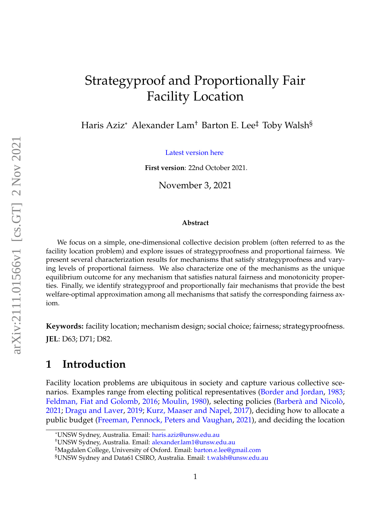# Strategyproof and Proportionally Fair Facility Location

Haris Aziz\* Alexander Lam† Barton E. Lee‡ Toby Walsh§

[Latest version here](http://www.cse.unsw.edu.au/~haziz/fairFLP.pdf)

**First version**: 22nd October 2021.

November 3, 2021

#### **Abstract**

We focus on a simple, one-dimensional collective decision problem (often referred to as the facility location problem) and explore issues of strategyproofness and proportional fairness. We present several characterization results for mechanisms that satisfy strategyproofness and varying levels of proportional fairness. We also characterize one of the mechanisms as the unique equilibrium outcome for any mechanism that satisfies natural fairness and monotonicity properties. Finally, we identify strategyproof and proportionally fair mechanisms that provide the best welfare-optimal approximation among all mechanisms that satisfy the corresponding fairness axiom.

**Keywords:** facility location; mechanism design; social choice; fairness; strategyproofness.

**JEL**: D63; D71; D82.

## **1 Introduction**

Facility location problems are ubiquitous in society and capture various collective scenarios. Examples range from electing political representatives [\(Border and Jordan,](#page-21-0) [1983;](#page-21-0) [Feldman, Fiat and Golomb,](#page-22-0) [2016;](#page-22-0) [Moulin,](#page-23-0) [1980\)](#page-23-0), selecting policies (Barberà and Nicolò, [2021;](#page-21-1) [Dragu and Laver,](#page-21-2) [2019;](#page-21-2) [Kurz, Maaser and Napel,](#page-22-1) [2017\)](#page-22-1), deciding how to allocate a public budget [\(Freeman, Pennock, Peters and Vaughan,](#page-22-2) [2021\)](#page-22-2), and deciding the location

<sup>\*</sup>UNSW Sydney, Australia. Email: [haris.aziz@unsw.edu.au](mailto: haris.aziz@unsw.edu.au)

<sup>†</sup>UNSW Sydney, Australia. Email: [alexander.lam1@unsw.edu.au](mailto: alexander.lam1@unsw.edu.au)

<sup>‡</sup>Magdalen College, University of Oxford. Email: [barton.e.lee@gmail.com](mailto: barton.e.lee@gmail.com)

<sup>§</sup>UNSW Sydney and Data61 CSIRO, Australia. Email: [t.walsh@unsw.edu.au](mailto: t.walsh@unsw.edu.au)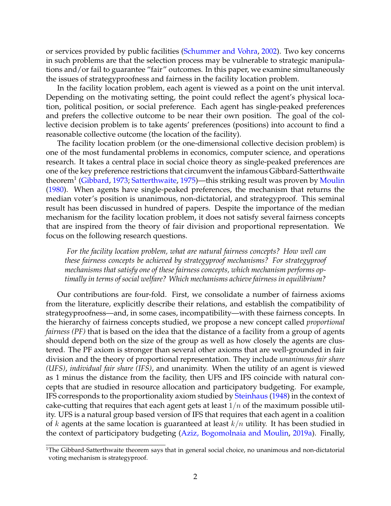or services provided by public facilities [\(Schummer and Vohra,](#page-24-0) [2002\)](#page-24-0). Two key concerns in such problems are that the selection process may be vulnerable to strategic manipulations and/or fail to guarantee "fair" outcomes. In this paper, we examine simultaneously the issues of strategyproofness and fairness in the facility location problem.

In the facility location problem, each agent is viewed as a point on the unit interval. Depending on the motivating setting, the point could reflect the agent's physical location, political position, or social preference. Each agent has single-peaked preferences and prefers the collective outcome to be near their own position. The goal of the collective decision problem is to take agents' preferences (positions) into account to find a reasonable collective outcome (the location of the facility).

The facility location problem (or the one-dimensional collective decision problem) is one of the most fundamental problems in economics, computer science, and operations research. It takes a central place in social choice theory as single-peaked preferences are one of the key preference restrictions that circumvent the infamous Gibbard-Satterthwaite theorem<sup>1</sup> [\(Gibbard,](#page-22-3) [1973;](#page-22-3) [Satterthwaite,](#page-24-1) [1975\)](#page-24-1)—this striking result was proven by [Moulin](#page-23-0) [\(1980\)](#page-23-0). When agents have single-peaked preferences, the mechanism that returns the median voter's position is unanimous, non-dictatorial, and strategyproof. This seminal result has been discussed in hundred of papers. Despite the importance of the median mechanism for the facility location problem, it does not satisfy several fairness concepts that are inspired from the theory of fair division and proportional representation. We focus on the following research questions.

*For the facility location problem, what are natural fairness concepts? How well can these fairness concepts be achieved by strategyproof mechanisms? For strategyproof mechanisms that satisfy one of these fairness concepts, which mechanism performs optimally in terms of social welfare? Which mechanisms achieve fairness in equilibrium?*

Our contributions are four-fold. First, we consolidate a number of fairness axioms from the literature, explicitly describe their relations, and establish the compatibility of strategyproofness—and, in some cases, incompatibility—with these fairness concepts. In the hierarchy of fairness concepts studied, we propose a new concept called *proportional fairness (PF)* that is based on the idea that the distance of a facility from a group of agents should depend both on the size of the group as well as how closely the agents are clustered. The PF axiom is stronger than several other axioms that are well-grounded in fair division and the theory of proportional representation. They include *unanimous fair share (UFS)*, *individual fair share (IFS)*, and unanimity. When the utility of an agent is viewed as 1 minus the distance from the facility, then UFS and IFS coincide with natural concepts that are studied in resource allocation and participatory budgeting. For example, IFS corresponds to the proportionality axiom studied by [Steinhaus](#page-24-2) [\(1948\)](#page-24-2) in the context of cake-cutting that requires that each agent gets at least  $1/n$  of the maximum possible utility. UFS is a natural group based version of IFS that requires that each agent in a coalition of k agents at the same location is guaranteed at least  $k/n$  utility. It has been studied in the context of participatory budgeting [\(Aziz, Bogomolnaia and Moulin,](#page-20-0) [2019a\)](#page-20-0). Finally,

<sup>&</sup>lt;sup>1</sup>The Gibbard-Satterthwaite theorem says that in general social choice, no unanimous and non-dictatorial voting mechanism is strategyproof.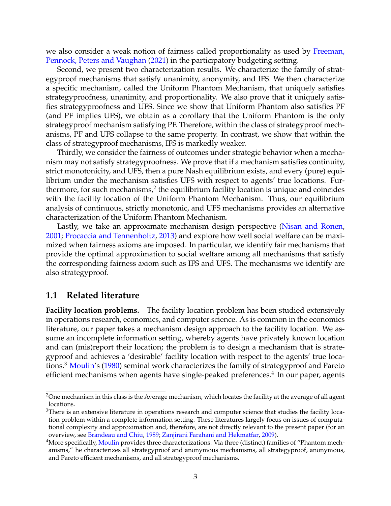we also consider a weak notion of fairness called proportionality as used by [Freeman,](#page-22-2) [Pennock, Peters and Vaughan](#page-22-2) [\(2021\)](#page-22-2) in the participatory budgeting setting.

Second, we present two characterization results. We characterize the family of strategyproof mechanisms that satisfy unanimity, anonymity, and IFS. We then characterize a specific mechanism, called the Uniform Phantom Mechanism, that uniquely satisfies strategyproofness, unanimity, and proportionality. We also prove that it uniquely satisfies strategyproofness and UFS. Since we show that Uniform Phantom also satisfies PF (and PF implies UFS), we obtain as a corollary that the Uniform Phantom is the only strategyproof mechanism satisfying PF. Therefore, within the class of strategyproof mechanisms, PF and UFS collapse to the same property. In contrast, we show that within the class of strategyproof mechanisms, IFS is markedly weaker.

Thirdly, we consider the fairness of outcomes under strategic behavior when a mechanism may not satisfy strategyproofness. We prove that if a mechanism satisfies continuity, strict monotonicity, and UFS, then a pure Nash equilibrium exists, and every (pure) equilibrium under the mechanism satisfies UFS with respect to agents' true locations. Furthermore, for such mechanisms, $^2$  the equilibrium facility location is unique and coincides with the facility location of the Uniform Phantom Mechanism. Thus, our equilibrium analysis of continuous, strictly monotonic, and UFS mechanisms provides an alternative characterization of the Uniform Phantom Mechanism.

Lastly, we take an approximate mechanism design perspective [\(Nisan and Ronen,](#page-23-1) [2001;](#page-23-1) [Procaccia and Tennenholtz,](#page-23-2) [2013\)](#page-23-2) and explore how well social welfare can be maximized when fairness axioms are imposed. In particular, we identify fair mechanisms that provide the optimal approximation to social welfare among all mechanisms that satisfy the corresponding fairness axiom such as IFS and UFS. The mechanisms we identify are also strategyproof.

### **1.1 Related literature**

**Facility location problems.** The facility location problem has been studied extensively in operations research, economics, and computer science. As is common in the economics literature, our paper takes a mechanism design approach to the facility location. We assume an incomplete information setting, whereby agents have privately known location and can (mis)report their location; the problem is to design a mechanism that is strategyproof and achieves a 'desirable' facility location with respect to the agents' true loca-tions.<sup>3</sup> [Moulin'](#page-23-0)s [\(1980\)](#page-23-0) seminal work characterizes the family of strategyproof and Pareto efficient mechanisms when agents have single-peaked preferences. $^4$  In our paper, agents

<sup>&</sup>lt;sup>2</sup>One mechanism in this class is the Average mechanism, which locates the facility at the average of all agent locations.

<sup>&</sup>lt;sup>3</sup>There is an extensive literature in operations research and computer science that studies the facility location problem within a complete information setting. These literatures largely focus on issues of computational complexity and approximation and, therefore, are not directly relevant to the present paper (for an overview, see [Brandeau and Chiu,](#page-21-3) [1989;](#page-21-3) [Zanjirani Farahani and Hekmatfar,](#page-24-3) [2009\)](#page-24-3).

<sup>&</sup>lt;sup>4</sup>More specifically, [Moulin](#page-23-0) provides three characterizations. Via three (distinct) families of "Phantom mechanisms," he characterizes all strategyproof and anonymous mechanisms, all strategyproof, anonymous, and Pareto efficient mechanisms, and all strategyproof mechanisms.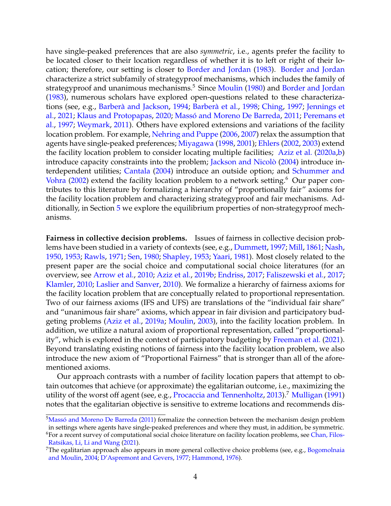have single-peaked preferences that are also *symmetric*, i.e., agents prefer the facility to be located closer to their location regardless of whether it is to left or right of their location; therefore, our setting is closer to [Border and Jordan](#page-21-0) [\(1983\)](#page-21-0). [Border and Jordan](#page-21-0) characterize a strict subfamily of strategyproof mechanisms, which includes the family of strategyproof and unanimous mechanisms.<sup>5</sup> Since [Moulin](#page-23-0) [\(1980\)](#page-23-0) and [Border and Jordan](#page-21-0) [\(1983\)](#page-21-0), numerous scholars have explored open-questions related to these characteriza-tions (see, e.g., Barberà and Jackson, [1994;](#page-21-4) Barberà et al., [1998;](#page-21-5) [Ching,](#page-21-6) [1997;](#page-21-6) [Jennings et](#page-22-4) [al.,](#page-22-4) [2021;](#page-22-4) [Klaus and Protopapas,](#page-22-5) [2020;](#page-22-5) Massó and Moreno De Barreda, [2011;](#page-23-3) [Peremans et](#page-23-4) [al.,](#page-23-4) [1997;](#page-23-4) [Weymark,](#page-24-4) [2011\)](#page-24-4). Others have explored extensions and variations of the facility location problem. For example, [Nehring and Puppe](#page-23-5) [\(2006,](#page-23-5) [2007\)](#page-23-6) relax the assumption that agents have single-peaked preferences; [Miyagawa](#page-23-7) [\(1998,](#page-23-7) [2001\)](#page-23-8); [Ehlers](#page-22-6) [\(2002,](#page-22-6) [2003\)](#page-22-7) extend the facility location problem to consider locating multiple facilities; [Aziz et al.](#page-21-7) [\(2020a](#page-21-7)[,b\)](#page-21-8) introduce capacity constraints into the problem; Jackson and Nicolò [\(2004\)](#page-22-8) introduce interdependent utilities; [Cantala](#page-21-9) [\(2004\)](#page-21-9) introduce an outside option; and [Schummer and](#page-24-0) [Vohra](#page-24-0) [\(2002\)](#page-24-0) extend the facility location problem to a network setting.<sup>6</sup> Our paper contributes to this literature by formalizing a hierarchy of "proportionally fair" axioms for the facility location problem and characterizing strategyproof and fair mechanisms. Additionally, in Section [5](#page-14-0) we explore the equilibrium properties of non-strategyproof mechanisms.

**Fairness in collective decision problems.** Issues of fairness in collective decision problems have been studied in a variety of contexts (see, e.g., [Dummett,](#page-22-9) [1997;](#page-22-9) [Mill,](#page-23-9) [1861;](#page-23-9) [Nash,](#page-23-10) [1950,](#page-23-10) [1953;](#page-23-11) [Rawls,](#page-23-12) [1971;](#page-23-12) [Sen,](#page-24-5) [1980;](#page-24-5) [Shapley,](#page-24-6) [1953;](#page-24-6) [Yaari,](#page-24-7) [1981\)](#page-24-7). Most closely related to the present paper are the social choice and computational social choice literatures (for an overview, see [Arrow et al.,](#page-20-1) [2010;](#page-20-1) [Aziz et al.,](#page-20-2) [2019b;](#page-20-2) [Endriss,](#page-22-10) [2017;](#page-22-10) [Faliszewski et al.,](#page-22-11) [2017;](#page-22-11) [Klamler,](#page-22-12) [2010;](#page-22-12) [Laslier and Sanver,](#page-23-13) [2010\)](#page-23-13). We formalize a hierarchy of fairness axioms for the facility location problem that are conceptually related to proportional representation. Two of our fairness axioms (IFS and UFS) are translations of the "individual fair share" and "unanimous fair share" axioms, which appear in fair division and participatory budgeting problems [\(Aziz et al.,](#page-20-0) [2019a;](#page-20-0) [Moulin,](#page-23-14) [2003\)](#page-23-14), into the facility location problem. In addition, we utilize a natural axiom of proportional representation, called "proportionality", which is explored in the context of participatory budgeting by [Freeman et al.](#page-22-2) [\(2021\)](#page-22-2). Beyond translating existing notions of fairness into the facility location problem, we also introduce the new axiom of "Proportional Fairness" that is stronger than all of the aforementioned axioms.

Our approach contrasts with a number of facility location papers that attempt to obtain outcomes that achieve (or approximate) the egalitarian outcome, i.e., maximizing the utility of the worst off agent (see, e.g., [Procaccia and Tennenholtz,](#page-23-2) [2013\)](#page-23-2).<sup>7</sup> [Mulligan](#page-23-15) [\(1991\)](#page-23-15) notes that the egalitarian objective is sensitive to extreme locations and recommends dis-

<sup>&</sup>lt;sup>5</sup>Massó and Moreno De Barreda [\(2011\)](#page-23-3) formalize the connection between the mechanism design problem in settings where agents have single-peaked preferences and where they must, in addition, be symmetric.

<sup>&</sup>lt;sup>6</sup>For a recent survey of computational social choice literature on facility location problems, see [Chan, Filos-](#page-21-10)[Ratsikas, Li, Li and Wang](#page-21-10) [\(2021\)](#page-21-10).

<sup>&</sup>lt;sup>7</sup>The egalitarian approach also appears in more general collective choice problems (see, e.g., [Bogomolnaia](#page-21-11) [and Moulin,](#page-21-11) [2004;](#page-21-11) [D'Aspremont and Gevers,](#page-21-12) [1977;](#page-21-12) [Hammond,](#page-22-13) [1976\)](#page-22-13).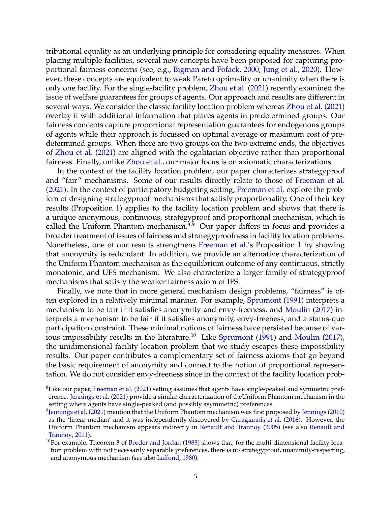tributional equality as an underlying principle for considering equality measures. When placing multiple facilities, several new concepts have been proposed for capturing proportional fairness concerns (see, e.g., [Bigman and Fofack,](#page-21-13) [2000;](#page-21-13) [Jung et al.,](#page-22-14) [2020\)](#page-22-14). However, these concepts are equivalent to weak Pareto optimality or unanimity when there is only one facility. For the single-facility problem, [Zhou et al.](#page-24-8) [\(2021\)](#page-24-8) recently examined the issue of welfare guarantees for groups of agents. Our approach and results are different in several ways. We consider the classic facility location problem whereas [Zhou et al.](#page-24-8) [\(2021\)](#page-24-8) overlay it with additional information that places agents in predetermined groups. Our fairness concepts capture proportional representation guarantees for endogenous groups of agents while their approach is focussed on optimal average or maximum cost of predetermined groups. When there are two groups on the two extreme ends, the objectives of [Zhou et al.](#page-24-8) [\(2021\)](#page-24-8) are aligned with the egalitarian objective rather than proportional fairness. Finally, unlike [Zhou et al.,](#page-24-8) our major focus is on axiomatic characterizations.

In the context of the facility location problem, our paper characterizes strategyproof and "fair" mechanisms. Some of our results directly relate to those of [Freeman et al.](#page-22-2) [\(2021\)](#page-22-2). In the context of participatory budgeting setting, [Freeman et al.](#page-22-2) explore the problem of designing strategyproof mechanisms that satisfy proportionality. One of their key results (Proposition 1) applies to the facility location problem and shows that there is a unique anonymous, continuous, strategyproof and proportional mechanism, which is called the Uniform Phantom mechanism.<sup>8,9</sup> Our paper differs in focus and provides a broader treatment of issues of fairness and strategyproofness in facility location problems. Nonetheless, one of our results strengthens [Freeman et al.'](#page-22-2)s Proposition 1 by showing that anonymity is redundant. In addition, we provide an alternative characterization of the Uniform Phantom mechanism as the equilibrium outcome of any continuous, strictly monotonic, and UFS mechanism. We also characterize a larger family of strategyproof mechanisms that satisfy the weaker fairness axiom of IFS.

Finally, we note that in more general mechanism design problems, "fairness" is of-ten explored in a relatively minimal manner. For example, [Sprumont](#page-24-9) [\(1991\)](#page-24-9) interprets a mechanism to be fair if it satisfies anonymity and envy-freeness, and [Moulin](#page-23-16) [\(2017\)](#page-23-16) interprets a mechanism to be fair if it satisfies anonymity, envy-freeness, and a status-quo participation constraint. These minimal notions of fairness have persisted because of var-ious impossibility results in the literature.<sup>10</sup> Like [Sprumont](#page-24-9)  $(1991)$  and [Moulin](#page-23-16)  $(2017)$ , the unidimensional facility location problem that we study escapes these impossibility results. Our paper contributes a complementary set of fairness axioms that go beyond the basic requirement of anonymity and connect to the notion of proportional representation. We do not consider envy-freeness since in the context of the facility location prob-

 ${}^{8}$ Like our paper, [Freeman et al.](#page-22-2) [\(2021\)](#page-22-2) setting assumes that agents have single-peaked and symmetric preference. [Jennings et al.](#page-22-4) [\(2021\)](#page-22-4) provide a similar characterization of theUniform Phantom mechanism in the setting where agents have single-peaked (and possibly asymmetric) preferences.

<sup>&</sup>lt;sup>9</sup>[Jennings et al.](#page-22-4) [\(2021\)](#page-22-4) mention that the Uniform Phantom mechanism was first proposed by <u>Jenning</u>s [\(2010\)](#page-22-15) as the 'linear median' and it was independently discovered by [Caragiannis et al.](#page-21-14) [\(2016\)](#page-21-14). However, the Uniform Phantom mechanism appears indirectly in [Renault and Trannoy](#page-23-17) [\(2005\)](#page-23-17) (see also [Renault and](#page-23-18) [Trannoy,](#page-23-18) [2011\)](#page-23-18).

 $10$ For example, Theorem 3 of [Border and Jordan](#page-21-0) [\(1983\)](#page-21-0) shows that, for the multi-dimensional facility location problem with not necessarily separable preferences, there is no strategyproof, unanimity-respecting, and anonymous mechanism (see also [Laffond,](#page-22-16) [1980\)](#page-22-16).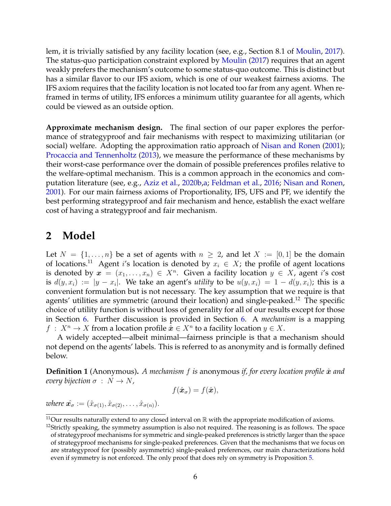lem, it is trivially satisfied by any facility location (see, e.g., Section 8.1 of [Moulin,](#page-23-16) [2017\)](#page-23-16). The status-quo participation constraint explored by [Moulin](#page-23-16) [\(2017\)](#page-23-16) requires that an agent weakly prefers the mechanism's outcome to some status-quo outcome. This is distinct but has a similar flavor to our IFS axiom, which is one of our weakest fairness axioms. The IFS axiom requires that the facility location is not located too far from any agent. When reframed in terms of utility, IFS enforces a minimum utility guarantee for all agents, which could be viewed as an outside option.

**Approximate mechanism design.** The final section of our paper explores the performance of strategyproof and fair mechanisms with respect to maximizing utilitarian (or social) welfare. Adopting the approximation ratio approach of [Nisan and Ronen](#page-23-1) [\(2001\)](#page-23-1); [Procaccia and Tennenholtz](#page-23-2) [\(2013\)](#page-23-2), we measure the performance of these mechanisms by their worst-case performance over the domain of possible preferences profiles relative to the welfare-optimal mechanism. This is a common approach in the economics and computation literature (see, e.g., [Aziz et al.,](#page-21-8) [2020b,](#page-21-8)[a;](#page-21-7) [Feldman et al.,](#page-22-0) [2016;](#page-22-0) [Nisan and Ronen,](#page-23-1) [2001\)](#page-23-1). For our main fairness axioms of Proportionality, IFS, UFS and PF, we identify the best performing strategyproof and fair mechanism and hence, establish the exact welfare cost of having a strategyproof and fair mechanism.

## <span id="page-5-0"></span>**2 Model**

Let  $N = \{1, \ldots, n\}$  be a set of agents with  $n \geq 2$ , and let  $X := [0, 1]$  be the domain of locations.<sup>11</sup> Agent i's location is denoted by  $x_i \in X$ ; the profile of agent locations is denoted by  $\boldsymbol{x} = (x_1, \ldots, x_n) \in X^n$ . Given a facility location  $y \in X$ , agent i's cost is  $d(y,x_i) := |y-x_i|$ . We take an agent's *utility* to be  $u(y,x_i) = 1 - d(y,x_i)$ ; this is a convenient formulation but is not necessary. The key assumption that we require is that agents' utilities are symmetric (around their location) and single-peaked.<sup>12</sup> The specific choice of utility function is without loss of generality for all of our results except for those in Section [6.](#page-16-0) Further discussion is provided in Section [6.](#page-16-0) A *mechanism* is a mapping  $f: X^n \to X$  from a location profile  $\hat{\boldsymbol{x}} \in X^n$  to a facility location  $y \in X$ .

A widely accepted—albeit minimal—fairness principle is that a mechanism should not depend on the agents' labels. This is referred to as anonymity and is formally defined below.

<span id="page-5-1"></span>**Definition 1** (Anonymous). A mechanism f is anonymous if, for every location profile  $\hat{x}$  and *every bijection*  $\sigma : N \rightarrow N$ ,

$$
f(\hat{\boldsymbol{x}}_{\sigma}) = f(\hat{\boldsymbol{x}}),
$$

*where*  $\hat{\mathbf{x}}_{\sigma} := (\hat{x}_{\sigma(1)}, \hat{x}_{\sigma(2)}, \dots, \hat{x}_{\sigma(n)})$ .

 $11$ Our results naturally extend to any closed interval on  $\mathbb R$  with the appropriate modification of axioms.

 $12$ Strictly speaking, the symmetry assumption is also not required. The reasoning is as follows. The space of strategyproof mechanisms for symmetric and single-peaked preferences is strictly larger than the space of strategyproof mechanisms for single-peaked preferences. Given that the mechanisms that we focus on are strategyproof for (possibly asymmetric) single-peaked preferences, our main characterizations hold even if symmetry is not enforced. The only proof that does rely on symmetry is Proposition [5.](#page-13-0)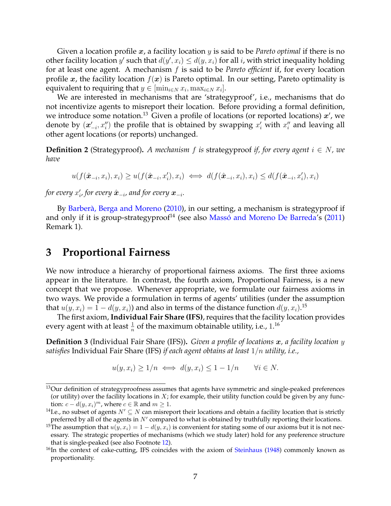Given a location profile x, a facility location y is said to be *Pareto optimal* if there is no other facility location y' such that  $d(y', x_i) \leq d(y, x_i)$  for all i, with strict inequality holding for at least one agent. A mechanism f is said to be *Pareto efficient* if, for every location profile x, the facility location  $f(x)$  is Pareto optimal. In our setting, Pareto optimality is equivalent to requiring that  $y \in [\min_{i \in N} x_i, \max_{i \in N} x_i].$ 

We are interested in mechanisms that are 'strategyproof', i.e., mechanisms that do not incentivize agents to misreport their location. Before providing a formal definition, we introduce some notation.<sup>13</sup> Given a profile of locations (or reported locations)  $x'$ , we denote by  $(x'_{-i}, x''_i)$  the profile that is obtained by swapping  $x'_i$  with  $x''_i$  and leaving all other agent locations (or reports) unchanged.

**Definition 2** (Strategyproof). A mechanism f is strategyproof if, for every agent  $i \in N$ , we *have*

$$
u(f(\hat{\boldsymbol{x}}_{-i},x_i),x_i) \geq u(f(\hat{\boldsymbol{x}}_{-i},x'_i),x_i) \iff d(f(\hat{\boldsymbol{x}}_{-i},x_i),x_i) \leq d(f(\hat{\boldsymbol{x}}_{-i},x'_i),x_i)
$$

for every  $x'_i$ , for every  $\hat{\boldsymbol{x}}_{-i}$ , and for every  $\boldsymbol{x}_{-i}.$ 

By Barberà, Berga and Moreno [\(2010\)](#page-21-15), in our setting, a mechanism is strategyproof if and only if it is group-strategyproof<sup>14</sup> (see also Massó and Moreno De Barreda's  $(2011)$ Remark 1).

### <span id="page-6-0"></span>**3 Proportional Fairness**

We now introduce a hierarchy of proportional fairness axioms. The first three axioms appear in the literature. In contrast, the fourth axiom, Proportional Fairness, is a new concept that we propose. Whenever appropriate, we formulate our fairness axioms in two ways. We provide a formulation in terms of agents' utilities (under the assumption that  $u(y,x_i) = 1 - d(y,x_i)$ ) and also in terms of the distance function  $d(y,x_i)$ .<sup>15</sup>

The first axiom, **Individual Fair Share (IFS)**, requires that the facility location provides every agent with at least  $\frac{1}{n}$  of the maximum obtainable utility, i.e.,  $1.^{16}$ 

**Definition 3** (Individual Fair Share (IFS))**.** *Given a profile of locations* x*, a facility location* y *satisfies* Individual Fair Share (IFS) *if each agent obtains at least* 1/n *utility, i.e.,*

$$
u(y, x_i) \ge 1/n \iff d(y, x_i) \le 1 - 1/n \qquad \forall i \in N.
$$

<sup>&</sup>lt;sup>13</sup>Our definition of strategyproofness assumes that agents have symmetric and single-peaked preferences (or utility) over the facility locations in  $X$ ; for example, their utility function could be given by any function:  $c - d(y, x_i)^m$ , where  $c \in \mathbb{R}$  and  $m \ge 1$ .

<sup>&</sup>lt;sup>14</sup>I.e., no subset of agents  $N' \subseteq N$  can misreport their locations and obtain a facility location that is strictly preferred by all of the agents in  $N'$  compared to what is obtained by truthfully reporting their locations.

<sup>&</sup>lt;sup>15</sup>The assumption that  $u(y, x_i) = 1 - d(y, x_i)$  is convenient for stating some of our axioms but it is not necessary. The strategic properties of mechanisms (which we study later) hold for any preference structure that is single-peaked (see also Footnote [12\)](#page-5-0).

 $16$ In the context of cake-cutting, IFS coincides with the axiom of [Steinhaus](#page-24-2) [\(1948\)](#page-24-2) commonly known as proportionality.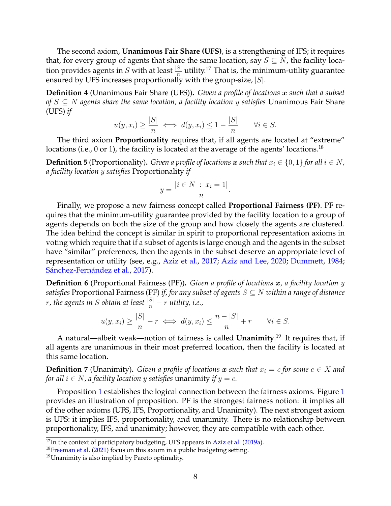The second axiom, **Unanimous Fair Share (UFS)**, is a strengthening of IFS; it requires that, for every group of agents that share the same location, say  $S \subseteq N$ , the facility location provides agents in  $S$  with at least  $\frac{|S|}{n}$  utility.<sup>17</sup> That is, the minimum-utility guarantee ensured by UFS increases proportionally with the group-size,  $|S|$ .

**Definition 4** (Unanimous Fair Share (UFS))**.** *Given a profile of locations* x *such that a subset of* S ⊆ N *agents share the same location, a facility location* y *satisfies* Unanimous Fair Share (UFS) *if*

$$
u(y, x_i) \ge \frac{|S|}{n} \iff d(y, x_i) \le 1 - \frac{|S|}{n} \quad \forall i \in S.
$$

The third axiom **Proportionality** requires that, if all agents are located at "extreme" locations (i.e., 0 or 1), the facility is located at the average of the agents' locations.<sup>18</sup>

**Definition 5** (Proportionality). *Given a profile of locations* x *such that*  $x_i \in \{0, 1\}$  *for all*  $i \in N$ *, a facility location* y *satisfies* Proportionality *if*

$$
y = \frac{|i \in N \, : \, x_i = 1|}{n}.
$$

Finally, we propose a new fairness concept called **Proportional Fairness (PF)**. PF requires that the minimum-utility guarantee provided by the facility location to a group of agents depends on both the size of the group and how closely the agents are clustered. The idea behind the concept is similar in spirit to proportional representation axioms in voting which require that if a subset of agents is large enough and the agents in the subset have "similar" preferences, then the agents in the subset deserve an appropriate level of representation or utility (see, e.g., [Aziz et al.,](#page-21-16) [2017;](#page-21-16) [Aziz and Lee,](#page-20-3) [2020;](#page-20-3) [Dummett,](#page-22-17) [1984;](#page-22-17) Sánchez-Fernández et al., [2017\)](#page-23-19).

**Definition 6** (Proportional Fairness (PF))**.** *Given a profile of locations* x*, a facility location* y *satisfies* Proportional Fairness (PF) *if, for any subset of agents* S ⊆ N *within a range of distance* r, the agents in S obtain at least  $\frac{|S|}{n} - r$  utility, i.e.,

$$
u(y, x_i) \ge \frac{|S|}{n} - r \iff d(y, x_i) \le \frac{n - |S|}{n} + r \qquad \forall i \in S.
$$

A natural—albeit weak—notion of fairness is called **Unanimity**. <sup>19</sup> It requires that, if all agents are unanimous in their most preferred location, then the facility is located at this same location.

**Definition 7** (Unanimity). *Given a profile of locations* x *such that*  $x_i = c$  *for some*  $c \in X$  *and for all*  $i \in N$ , a facility location y satisfies unanimity if  $y = c$ .

Proposition [1](#page-8-1) establishes the logical connection between the fairness axioms. Figure 1 provides an illustration of proposition. PF is the strongest fairness notion: it implies all of the other axioms (UFS, IFS, Proportionality, and Unanimity). The next strongest axiom is UFS: it implies IFS, proportionality, and unanimity. There is no relationship between proportionality, IFS, and unanimity; however, they are compatible with each other.

 $17$ In the context of participatory budgeting, UFS appears in [Aziz et al.](#page-20-0) [\(2019a\)](#page-20-0).

<sup>&</sup>lt;sup>18</sup>[Freeman et al.](#page-22-2) [\(2021\)](#page-22-2) focus on this axiom in a public budgeting setting.

 $19$ Unanimity is also implied by Pareto optimality.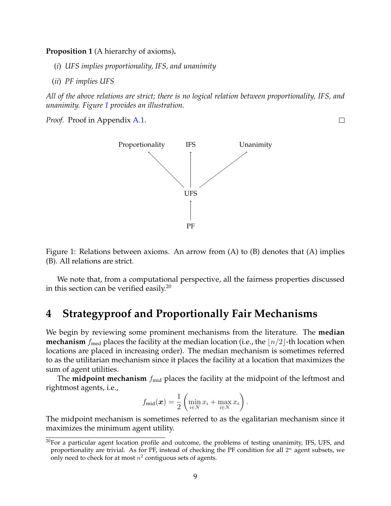<span id="page-8-0"></span>**Proposition 1** (A hierarchy of axioms)**.** *a*

- (*i*) *UFS implies proportionality, IFS, and unanimity*
- (*ii*) *PF implies UFS*

*All of the above relations are strict; there is no logical relation between proportionality, IFS, and unanimity. Figure [1](#page-8-1) provides an illustration.*

<span id="page-8-1"></span>*Proof.* Proof in Appendix [A.1.](#page-24-10)



Figure 1: Relations between axioms. An arrow from (A) to (B) denotes that (A) implies (B). All relations are strict.

We note that, from a computational perspective, all the fairness properties discussed in this section can be verified easily.<sup>20</sup>

## <span id="page-8-2"></span>**4 Strategyproof and Proportionally Fair Mechanisms**

We begin by reviewing some prominent mechanisms from the literature. The **median mechanism**  $f_{\text{med}}$  places the facility at the median location (i.e., the  $\lfloor n/2 \rfloor$ -th location when locations are placed in increasing order). The median mechanism is sometimes referred to as the utilitarian mechanism since it places the facility at a location that maximizes the sum of agent utilities.

The **midpoint mechanism**  $f_{mid}$  places the facility at the midpoint of the leftmost and rightmost agents, i.e.,

$$
f_{\text{mid}}(\boldsymbol{x}) = \frac{1}{2} \left( \min_{i \in N} x_i + \max_{i \in N} x_i \right).
$$

The midpoint mechanism is sometimes referred to as the egalitarian mechanism since it maximizes the minimum agent utility.

 $\Box$ 

<sup>&</sup>lt;sup>20</sup>For a particular agent location profile and outcome, the problems of testing unanimity, IFS, UFS, and proportionality are trivial. As for PF, instead of checking the PF condition for all  $2^n$  agent subsets, we only need to check for at most  $n^2$  contiguous sets of agents.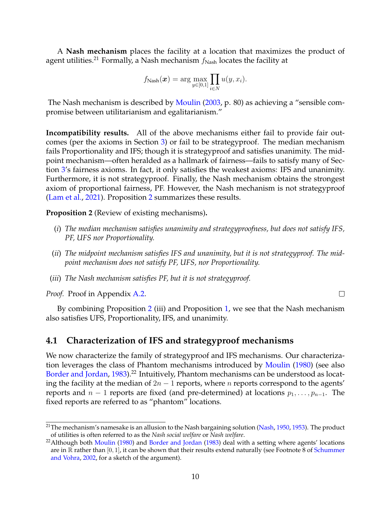A **Nash mechanism** places the facility at a location that maximizes the product of agent utilities.<sup>21</sup> Formally, a Nash mechanism  $f_{\text{Nash}}$  locates the facility at

$$
f_{\text{Nash}}(\boldsymbol{x}) = \arg\max_{y \in [0,1]} \prod_{i \in N} u(y, x_i).
$$

The Nash mechanism is described by [Moulin](#page-23-14) [\(2003,](#page-23-14) p. 80) as achieving a "sensible compromise between utilitarianism and egalitarianism."

**Incompatibility results.** All of the above mechanisms either fail to provide fair outcomes (per the axioms in Section [3\)](#page-6-0) or fail to be strategyproof. The median mechanism fails Proportionality and IFS; though it is strategyproof and satisfies unanimity. The midpoint mechanism—often heralded as a hallmark of fairness—fails to satisfy many of Section [3'](#page-6-0)s fairness axioms. In fact, it only satisfies the weakest axioms: IFS and unanimity. Furthermore, it is not strategyproof. Finally, the Nash mechanism obtains the strongest axiom of proportional fairness, PF. However, the Nash mechanism is not strategyproof [\(Lam et al.,](#page-23-20) [2021\)](#page-23-20). Proposition [2](#page-9-0) summarizes these results.

<span id="page-9-0"></span>**Proposition 2** (Review of existing mechanisms)**.** *a*

- (*i*) *The median mechanism satisfies unanimity and strategyproofness, but does not satisfy IFS, PF, UFS nor Proportionality.*
- (*ii*) *The midpoint mechanism satisfies IFS and unanimity, but it is not strategyproof. The midpoint mechanism does not satisfy PF, UFS, nor Proportionality.*

 $\Box$ 

(*iii*) *The Nash mechanism satisfies PF, but it is not strategyproof.*

*Proof.* Proof in Appendix [A.2.](#page-25-0)

By combining Proposition [2](#page-9-0) (iii) and Proposition [1,](#page-8-0) we see that the Nash mechanism also satisfies UFS, Proportionality, IFS, and unanimity.

#### **4.1 Characterization of IFS and strategyproof mechanisms**

We now characterize the family of strategyproof and IFS mechanisms. Our characterization leverages the class of Phantom mechanisms introduced by [Moulin](#page-23-0) [\(1980\)](#page-23-0) (see also [Border and Jordan,](#page-21-0) [1983\)](#page-21-0).<sup>22</sup> Intuitively, Phantom mechanisms can be understood as locating the facility at the median of  $2n - 1$  reports, where n reports correspond to the agents' reports and  $n-1$  reports are fixed (and pre-determined) at locations  $p_1, \ldots, p_{n-1}$ . The fixed reports are referred to as "phantom" locations.

<sup>&</sup>lt;sup>21</sup>The mechanism's namesake is an allusion to the Nash bargaining solution [\(Nash,](#page-23-10) [1950,](#page-23-10) [1953\)](#page-23-11). The product of utilities is often referred to as the *Nash social welfare* or *Nash welfare*.

<sup>&</sup>lt;sup>22</sup> Although both [Moulin](#page-23-0) [\(1980\)](#page-23-0) and [Border and Jordan](#page-21-0) [\(1983\)](#page-21-0) deal with a setting where agents' locations are in  $\mathbb R$  rather than [0, 1], it can be shown that their results extend naturally (see Footnote 8 of [Schummer](#page-24-0) [and Vohra,](#page-24-0) [2002,](#page-24-0) for a sketch of the argument).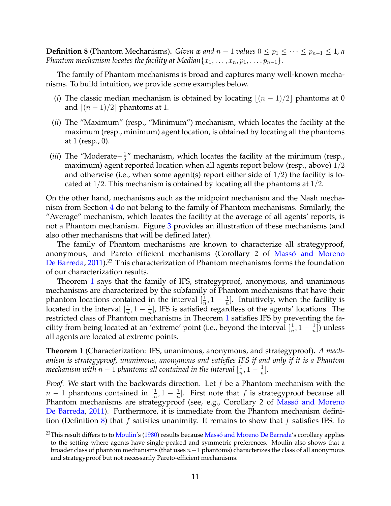<span id="page-10-1"></span>**Definition 8** (Phantom Mechanisms). *Given* x and  $n-1$  *values*  $0 \le p_1 \le \cdots \le p_{n-1} \le 1$ , a *Phantom mechanism locates the facility at Median* $\{x_1, \ldots, x_n, p_1, \ldots, p_{n-1}\}.$ 

The family of Phantom mechanisms is broad and captures many well-known mechanisms. To build intuition, we provide some examples below.

- (*i*) The classic median mechanism is obtained by locating  $|(n 1)/2|$  phantoms at 0 and  $(n - 1)/2$  phantoms at 1.
- (*ii*) The "Maximum" (resp., "Minimum") mechanism, which locates the facility at the maximum (resp., minimum) agent location, is obtained by locating all the phantoms at 1 (resp., 0).
- (*iii*) The "Moderate− 1  $\frac{1}{2}$ " mechanism, which locates the facility at the minimum (resp., maximum) agent reported location when all agents report below (resp., above) 1/2 and otherwise (i.e., when some agent(s) report either side of  $1/2$ ) the facility is located at  $1/2$ . This mechanism is obtained by locating all the phantoms at  $1/2$ .

On the other hand, mechanisms such as the midpoint mechanism and the Nash mechanism from Section [4](#page-8-2) do not belong to the family of Phantom mechanisms. Similarly, the "Average" mechanism, which locates the facility at the average of all agents' reports, is not a Phantom mechanism. Figure [3](#page-19-0) provides an illustration of these mechanisms (and also other mechanisms that will be defined later).

The family of Phantom mechanisms are known to characterize all strategyproof, anonymous, and Pareto efficient mechanisms (Corollary 2 of Massó and Moreno [De Barreda,](#page-23-3) [2011\)](#page-23-3).<sup>23</sup> This characterization of Phantom mechanisms forms the foundation of our characterization results.

Theorem [1](#page-10-0) says that the family of IFS, strategyproof, anonymous, and unanimous mechanisms are characterized by the subfamily of Phantom mechanisms that have their phantom locations contained in the interval  $\left[\frac{1}{n}\right]$  $\frac{1}{n}, 1 - \frac{1}{n}$  $\frac{1}{n}$ ]. Intuitively, when the facility is located in the interval  $\left[\frac{1}{n}\right]$  $\frac{1}{n}, 1 - \frac{1}{n}$  $\frac{1}{n}$ , IFS is satisfied regardless of the agents' locations. The restricted class of Phantom mechanisms in Theorem [1](#page-10-0) satisfies IFS by preventing the facility from being located at an 'extreme' point (i.e., beyond the interval  $\left[\frac{1}{n}\right]$  $\frac{1}{n}, 1-\frac{1}{n}$  $\frac{1}{n}]$ ) unless all agents are located at extreme points.

<span id="page-10-0"></span>**Theorem 1** (Characterization: IFS, unanimous, anonymous, and strategyproof)**.** *A mechanism is strategyproof, unanimous, anonymous and satisfies IFS if and only if it is a Phantom mechanism with*  $n-1$  *phantoms all contained in the interval*  $\left[\frac{1}{n}\right]$  $\frac{1}{n}, 1 - \frac{1}{n}$  $\frac{1}{n}$ .

*Proof.* We start with the backwards direction. Let f be a Phantom mechanism with the  $n-1$  phantoms contained in  $\left[\frac{1}{n}\right]$  $\frac{1}{n}, 1 - \frac{1}{n}$  $\frac{1}{n}$ ]. First note that f is strategyproof because all Phantom mechanisms are strategyproof (see, e.g., Corollary 2 of Massó and Moreno [De Barreda,](#page-23-3) [2011\)](#page-23-3). Furthermore, it is immediate from the Phantom mechanism defini-tion (Definition [8\)](#page-10-1) that f satisfies unanimity. It remains to show that f satisfies IFS. To

<sup>&</sup>lt;sup>23</sup>This result differs to to [Moulin'](#page-23-0)s [\(1980\)](#page-23-0) results because Massó and Moreno De Barreda's corollary applies to the setting where agents have single-peaked and symmetric preferences. Moulin also shows that a broader class of phantom mechanisms (that uses  $n+1$  phantoms) characterizes the class of all anonymous and strategyproof but not necessarily Pareto-efficient mechanisms.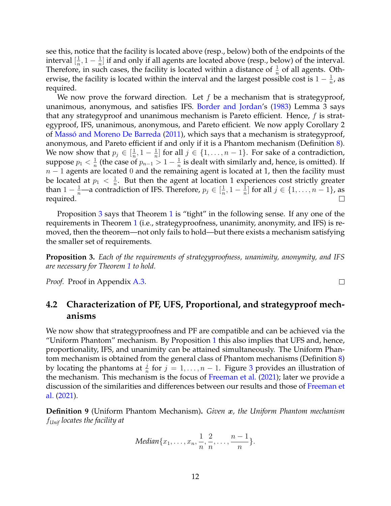see this, notice that the facility is located above (resp., below) both of the endpoints of the interval  $[\frac{1}{n}]$  $\frac{1}{n}, 1 - \frac{1}{n}$  $\frac{1}{n}$  if and only if all agents are located above (resp., below) of the interval. Therefore, in such cases, the facility is located within a distance of  $\frac{1}{n}$  of all agents. Otherwise, the facility is located within the interval and the largest possible cost is  $1-\frac{1}{n}$  $\frac{1}{n}$ , as required.

We now prove the forward direction. Let  $f$  be a mechanism that is strategyproof, unanimous, anonymous, and satisfies IFS. [Border and Jordan'](#page-21-0)s [\(1983\)](#page-21-0) Lemma 3 says that any strategyproof and unanimous mechanism is Pareto efficient. Hence, f is strategyproof, IFS, unanimous, anonymous, and Pareto efficient. We now apply Corollary 2 of Massó and Moreno De Barreda [\(2011\)](#page-23-3), which says that a mechanism is strategyproof, anonymous, and Pareto efficient if and only if it is a Phantom mechanism (Definition [8\)](#page-10-1). We now show that  $p_j \in [\frac{1}{n}]$  $\frac{1}{n}, 1 - \frac{1}{n}$  $\frac{1}{n}$  for all  $j \in \{1, \ldots, n-1\}$ . For sake of a contradiction, suppose  $p_1 < \frac{1}{n}$  $\frac{1}{n}$  (the case of  $p_{n-1} > 1 - \frac{1}{n}$ )  $\frac{1}{n}$  is dealt with similarly and, hence, is omitted). If  $n - 1$  agents are located 0 and the remaining agent is located at 1, then the facility must be located at  $p_1 < \frac{1}{n}$  $\frac{1}{n}$ . But then the agent at location 1 experiences cost strictly greater than  $1 - \frac{1}{n}$ —a contradiction of IFS. Therefore,  $p_j \in [\frac{1}{n}]$  $\frac{1}{n}, 1 - \frac{1}{n}$  $\frac{1}{n}$  for all  $j \in \{1, \ldots, n-1\}$ , as required.  $\Box$ 

Proposition [3](#page-11-0) says that Theorem [1](#page-10-0) is "tight" in the following sense. If any one of the requirements in Theorem [1](#page-10-0) (i.e., strategyproofness, unanimity, anonymity, and IFS) is removed, then the theorem—not only fails to hold—but there exists a mechanism satisfying the smaller set of requirements.

<span id="page-11-0"></span>**Proposition 3.** *Each of the requirements of strategyproofness, unanimity, anonymity, and IFS are necessary for Theorem [1](#page-10-0) to hold.*

*Proof.* Proof in Appendix [A.3.](#page-26-0)

### **4.2 Characterization of PF, UFS, Proportional, and strategyproof mechanisms**

We now show that strategyproofness and PF are compatible and can be achieved via the "Uniform Phantom" mechanism. By Proposition [1](#page-8-0) this also implies that UFS and, hence, proportionality, IFS, and unanimity can be attained simultaneously. The Uniform Phantom mechanism is obtained from the general class of Phantom mechanisms (Definition [8\)](#page-10-1) by locating the phantoms at  $\frac{j}{n}$  for  $j = 1, ..., n - 1$ . Figure [3](#page-19-0) provides an illustration of the mechanism. This mechanism is the focus of [Freeman et al.](#page-22-2) [\(2021\)](#page-22-2); later we provide a discussion of the similarities and differences between our results and those of [Freeman et](#page-22-2) [al.](#page-22-2) [\(2021\)](#page-22-2).

**Definition 9** (Uniform Phantom Mechanism)**.** *Given* x*, the Uniform Phantom mechanism* f*Unif locates the facility at*

Median{
$$
x_1, \ldots, x_n, \frac{1}{n}, \frac{2}{n}, \ldots, \frac{n-1}{n}
$$
}

 $\Box$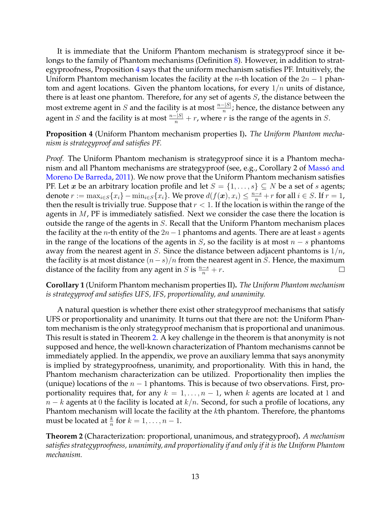It is immediate that the Uniform Phantom mechanism is strategyproof since it be-longs to the family of Phantom mechanisms (Definition [8\)](#page-10-1). However, in addition to strategyproofness, Proposition [4](#page-12-0) says that the uniform mechanism satisfies PF. Intuitively, the Uniform Phantom mechanism locates the facility at the *n*-th location of the  $2n - 1$  phantom and agent locations. Given the phantom locations, for every  $1/n$  units of distance, there is at least one phantom. Therefore, for any set of agents S, the distance between the most extreme agent in  $S$  and the facility is at most  $\frac{n-|S|}{n}$ ; hence, the distance between any agent in  $S$  and the facility is at most  $\frac{n-|S|}{n} + r$ , where  $r$  is the range of the agents in  $S$ .

<span id="page-12-0"></span>**Proposition 4** (Uniform Phantom mechanism properties I)**.** *The Uniform Phantom mechanism is strategyproof and satisfies PF.*

*Proof.* The Uniform Phantom mechanism is strategyproof since it is a Phantom mechanism and all Phantom mechanisms are strategyproof (see, e.g., Corollary 2 of Massó and [Moreno De Barreda,](#page-23-3) [2011\)](#page-23-3). We now prove that the Uniform Phantom mechanism satisfies PF. Let x be an arbitrary location profile and let  $S = \{1, \ldots, s\} \subseteq N$  be a set of s agents; denote  $r := \max_{i \in S} \{x_i\} - \min_{i \in S} \{x_i\}$ . We prove  $d(f(\boldsymbol{x}), x_i) \leq \frac{n-s}{n} + r$  for all  $i \in S$ . If  $r = 1$ , then the result is trivially true. Suppose that  $r < 1$ . If the location is within the range of the agents in  $M$ , PF is immediately satisfied. Next we consider the case there the location is outside the range of the agents in S. Recall that the Uniform Phantom mechanism places the facility at the *n*-th entity of the 2*n* − 1 phantoms and agents. There are at least *s* agents in the range of the locations of the agents in  $S$ , so the facility is at most  $n - s$  phantoms away from the nearest agent in S. Since the distance between adjacent phantoms is  $1/n$ , the facility is at most distance  $(n-s)/n$  from the nearest agent in S. Hence, the maximum distance of the facility from any agent in *S* is  $\frac{n-s}{n} + r$ .  $\Box$ 

<span id="page-12-2"></span>**Corollary 1** (Uniform Phantom mechanism properties II)**.** *The Uniform Phantom mechanism is strategyproof and satisfies UFS, IFS, proportionality, and unanimity.*

A natural question is whether there exist other strategyproof mechanisms that satisfy UFS or proportionality and unanimity. It turns out that there are not: the Uniform Phantom mechanism is the only strategyproof mechanism that is proportional and unanimous. This result is stated in Theorem [2.](#page-12-1) A key challenge in the theorem is that anonymity is not supposed and hence, the well-known characterization of Phantom mechanisms cannot be immediately applied. In the appendix, we prove an auxiliary lemma that says anonymity is implied by strategyproofness, unanimity, and proportionality. With this in hand, the Phantom mechanism characterization can be utilized. Proportionality then implies the (unique) locations of the  $n-1$  phantoms. This is because of two observations. First, proportionality requires that, for any  $k = 1, \ldots, n-1$ , when k agents are located at 1 and  $n - k$  agents at 0 the facility is located at  $k/n$ . Second, for such a profile of locations, any Phantom mechanism will locate the facility at the  $k$ th phantom. Therefore, the phantoms must be located at  $\frac{k}{n}$  for  $k = 1, \ldots, n - 1$ .

<span id="page-12-1"></span>**Theorem 2** (Characterization: proportional, unanimous, and strategyproof)**.** *A mechanism satisfies strategyproofness, unanimity, and proportionality if and only if it is the Uniform Phantom mechanism.*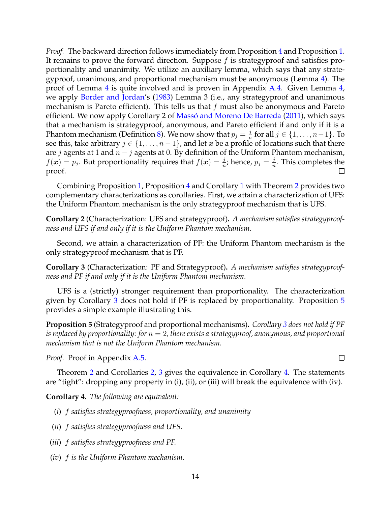*Proof.* The backward direction follows immediately from Proposition [4](#page-12-0) and Proposition [1.](#page-8-0) It remains to prove the forward direction. Suppose  $f$  is strategyproof and satisfies proportionality and unanimity. We utilize an auxiliary lemma, which says that any strategyproof, unanimous, and proportional mechanism must be anonymous (Lemma [4\)](#page-27-0). The proof of Lemma [4](#page-27-0) is quite involved and is proven in Appendix [A.4.](#page-27-1) Given Lemma [4,](#page-27-0) we apply [Border and Jordan'](#page-21-0)s [\(1983\)](#page-21-0) Lemma 3 (i.e., any strategyproof and unanimous mechanism is Pareto efficient). This tells us that  $f$  must also be anonymous and Pareto efficient. We now apply Corollary 2 of Massó and Moreno De Barreda [\(2011\)](#page-23-3), which says that a mechanism is strategyproof, anonymous, and Pareto efficient if and only if it is a Phantom mechanism (Definition [8\)](#page-10-1). We now show that  $p_j = \frac{j}{n}$  $\frac{j}{n}$  for all  $j \in \{1, \ldots, n-1\}$ . To see this, take arbitrary  $j \in \{1, \ldots, n-1\}$ , and let x be a profile of locations such that there are *j* agents at 1 and  $n - j$  agents at 0. By definition of the Uniform Phantom mechanism,  $f(\boldsymbol{x}) = p_j$ . But proportionality requires that  $f(\boldsymbol{x}) = \frac{j}{n}$ ; hence,  $p_j = \frac{j}{n}$  $\frac{j}{n}$ . This completes the proof.  $\Box$ 

Combining Proposition [1,](#page-8-0) Proposition [4](#page-12-0) and Corollary [1](#page-12-2) with Theorem [2](#page-12-1) provides two complementary characterizations as corollaries. First, we attain a characterization of UFS: the Uniform Phantom mechanism is the only strategyproof mechanism that is UFS.

<span id="page-13-2"></span>**Corollary 2** (Characterization: UFS and strategyproof)**.** *A mechanism satisfies strategyproofness and UFS if and only if it is the Uniform Phantom mechanism.*

Second, we attain a characterization of PF: the Uniform Phantom mechanism is the only strategyproof mechanism that is PF.

<span id="page-13-1"></span>**Corollary 3** (Characterization: PF and Strategyproof)**.** *A mechanism satisfies strategyproofness and PF if and only if it is the Uniform Phantom mechanism.*

UFS is a (strictly) stronger requirement than proportionality. The characterization given by Corollary [3](#page-13-1) does not hold if PF is replaced by proportionality. Proposition [5](#page-13-0) provides a simple example illustrating this.

<span id="page-13-0"></span>**Proposition 5** (Strategyproof and proportional mechanisms)**.** *Corollary [3](#page-13-1) does not hold if PF is replaced by proportionality: for* n = 2*, there exists a strategyproof, anonymous, and proportional mechanism that is not the Uniform Phantom mechanism.*

*Proof.* Proof in Appendix [A.5.](#page-30-0)

Theorem [2](#page-12-1) and Corollaries [2,](#page-13-2) [3](#page-13-1) gives the equivalence in Corollary [4.](#page-13-3) The statements are "tight": dropping any property in (i), (ii), or (iii) will break the equivalence with (iv).

 $\Box$ 

<span id="page-13-3"></span>**Corollary 4.** *The following are equivalent:*

- (*i*) f *satisfies strategyproofness, proportionality, and unanimity*
- (*ii*) f *satisfies strategyproofness and UFS.*
- (*iii*) f *satisfies strategyproofness and PF.*
- (*iv*) f *is the Uniform Phantom mechanism.*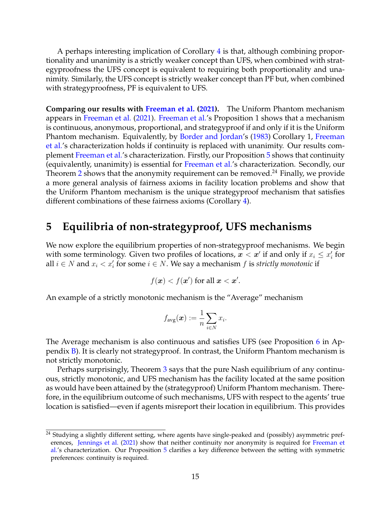A perhaps interesting implication of Corollary [4](#page-13-3) is that, although combining proportionality and unanimity is a strictly weaker concept than UFS, when combined with strategyproofness the UFS concept is equivalent to requiring both proportionality and unanimity. Similarly, the UFS concept is strictly weaker concept than PF but, when combined with strategyproofness, PF is equivalent to UFS.

**Comparing our results with [Freeman et al.](#page-22-2) [\(2021\)](#page-22-2).** The Uniform Phantom mechanism appears in [Freeman et al.](#page-22-2) [\(2021\)](#page-22-2). [Freeman et al.'](#page-22-2)s Proposition 1 shows that a mechanism is continuous, anonymous, proportional, and strategyproof if and only if it is the Uniform Phantom mechanism. Equivalently, by [Border and Jordan'](#page-21-0)s [\(1983\)](#page-21-0) Corollary 1, [Freeman](#page-22-2) [et al.'](#page-22-2)s characterization holds if continuity is replaced with unanimity. Our results complement [Freeman et al.'](#page-22-2)s characterization. Firstly, our Proposition [5](#page-13-0) shows that continuity (equivalently, unanimity) is essential for [Freeman et al.'](#page-22-2)s characterization. Secondly, our Theorem [2](#page-12-1) shows that the anonymity requirement can be removed.<sup>24</sup> Finally, we provide a more general analysis of fairness axioms in facility location problems and show that the Uniform Phantom mechanism is the unique strategyproof mechanism that satisfies different combinations of these fairness axioms (Corollary [4\)](#page-13-3).

## <span id="page-14-0"></span>**5 Equilibria of non-strategyproof, UFS mechanisms**

We now explore the equilibrium properties of non-strategyproof mechanisms. We begin with some terminology. Given two profiles of locations,  $\bm{x} < \bm{x}^\prime$  if and only if  $x_i \leq x_i^\prime$  for all  $i \in N$  and  $x_i < x'_i$  for some  $i \in N$ . We say a mechanism  $f$  is *strictly monotonic* if

$$
f(\boldsymbol{x}) < f(\boldsymbol{x}') \text{ for all } \boldsymbol{x} < \boldsymbol{x}'.
$$

An example of a strictly monotonic mechanism is the "Average" mechanism

$$
f_{\text{avg}}(\boldsymbol{x}) := \frac{1}{n} \sum_{i \in N} x_i.
$$

The Average mechanism is also continuous and satisfies UFS (see Proposition [6](#page-36-0) in Appendix [B\)](#page-36-1). It is clearly not strategyproof. In contrast, the Uniform Phantom mechanism is not strictly monotonic.

Perhaps surprisingly, Theorem [3](#page-15-0) says that the pure Nash equilibrium of any continuous, strictly monotonic, and UFS mechanism has the facility located at the same position as would have been attained by the (strategyproof) Uniform Phantom mechanism. Therefore, in the equilibrium outcome of such mechanisms, UFS with respect to the agents' true location is satisfied—even if agents misreport their location in equilibrium. This provides

<sup>&</sup>lt;sup>24</sup> Studying a slightly different setting, where agents have single-peaked and (possibly) asymmetric preferences, [Jennings et al.](#page-22-4) [\(2021\)](#page-22-4) show that neither continuity nor anonymity is required for [Freeman et](#page-22-2) [al.'](#page-22-2)s characterization. Our Proposition [5](#page-13-0) clarifies a key difference between the setting with symmetric preferences: continuity is required.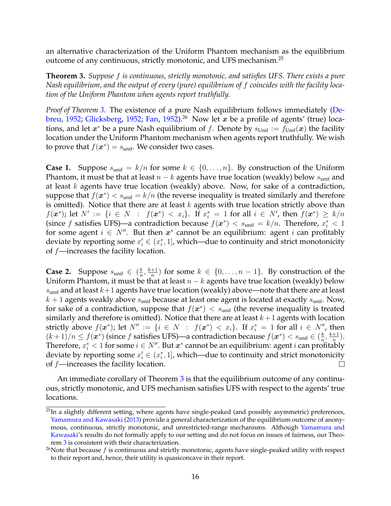an alternative characterization of the Uniform Phantom mechanism as the equilibrium outcome of any continuous, strictly monotonic, and UFS mechanism.<sup>25</sup>

<span id="page-15-0"></span>**Theorem 3.** *Suppose* f *is continuous, strictly monotonic, and satisfies UFS. There exists a pure Nash equilibrium, and the output of every (pure) equilibrium of* f *coincides with the facility location of the Uniform Phantom when agents report truthfully.*

*Proof of Theorem [3.](#page-15-0)* The existence of a pure Nash equilibrium follows immediately [\(De](#page-21-17)[breu,](#page-21-17) [1952;](#page-22-18) [Glicksberg,](#page-22-18) 1952; [Fan,](#page-22-19) [1952\)](#page-22-19).<sup>26</sup> Now let x be a profile of agents' (true) locations, and let  $x^*$  be a pure Nash equilibrium of f. Denote by  $s_{\text{Unif}} := f_{\text{Unif}}(x)$  the facility location under the Uniform Phantom mechanism when agents report truthfully. We wish to prove that  $f(\boldsymbol{x}^*) = s_{\text{unif}}$ . We consider two cases.

**Case 1.** Suppose  $s_{\text{unif}} = k/n$  for some  $k \in \{0, ..., n\}$ . By construction of the Uniform Phantom, it must be that at least  $n - k$  agents have true location (weakly) below  $s<sub>unif</sub>$  and at least  $k$  agents have true location (weakly) above. Now, for sake of a contradiction, suppose that  $f(\boldsymbol{x}^{*}) < s_{\text{unif}} = k/n$  (the reverse inequality is treated similarly and therefore is omitted). Notice that there are at least  $k$  agents with true location strictly above than  $f(\bm{x}^*)$ ; let  $N' := \{i \in N : f(\bm{x}^*) < x_i\}$ . If  $x_i^* = 1$  for all  $i \in N'$ , then  $f(\bm{x}^*) \ge k/n$ (since f satisfies UFS)—a contradiction because  $f(x^*) < s_{\text{unif}} = k/n$ . Therefore,  $x_i^* < 1$ for some agent  $i \in N''$ . But then  $x^*$  cannot be an equilibrium: agent i can profitably deviate by reporting some  $x'_i \in (x^*_i, 1]$ , which—due to continuity and strict monotonicity of  $f$ —increases the facility location.

**Case 2.** Suppose  $s_{\text{unif}} \in \left(\frac{k}{n}\right)$  $\frac{k}{n}, \frac{k+1}{n}$  $\frac{+1}{n}$ ) for some  $k \in \{0, \ldots, n-1\}$ . By construction of the Uniform Phantom, it must be that at least  $n - k$  agents have true location (weakly) below  $s<sub>unif</sub>$  and at least  $k+1$  agents have true location (weakly) above—note that there are at least  $k + 1$  agents weakly above  $s<sub>unif</sub>$  because at least one agent is located at exactly  $s<sub>unif</sub>$ . Now, for sake of a contradiction, suppose that  $f(\boldsymbol{x}^*) < s_{\text{unif}}$  (the reverse inequality is treated similarly and therefore is omitted). Notice that there are at least  $k+1$  agents with location strictly above  $f(\boldsymbol{x}^*)$ ; let  $N'' := \{i \in N : f(\boldsymbol{x}^*) < x_i\}$ . If  $x_i^* = 1$  for all  $i \in N''$ , then  $(k+1)/n \le f(\boldsymbol{x}^*)$  (since f satisfies UFS)—a contradiction because  $f(\boldsymbol{x}^*) < s_{\text{unif}} \in (\frac{k}{n})$  $\frac{k}{n}, \frac{k+1}{n}$  $\frac{+1}{n}$ ). Therefore,  $x_i^* < 1$  for some  $i \in N''$ . But  $\boldsymbol{x}^*$  cannot be an equilibrium: agent  $i$  can profitably deviate by reporting some  $x'_i \in (x^*_i, 1]$ , which—due to continuity and strict monotonicity of  $f$ —increases the facility location. П

An immediate corollary of Theorem [3](#page-15-0) is that the equilibrium outcome of any continuous, strictly monotonic, and UFS mechanism satisfies UFS with respect to the agents' true locations.

 $^{25}$ In a slightly different setting, where agents have single-peaked (and possibly asymmetric) preferences, [Yamamura and Kawasaki](#page-24-11) [\(2013\)](#page-24-11) provide a general characterization of the equilibrium outcome of anonymous, continuous, strictly monotonic, and unrestricted-range mechanisms. Although [Yamamura and](#page-24-11) [Kawasaki'](#page-24-11)s results do not formally apply to our setting and do not focus on issues of fairness, our Theorem [3](#page-15-0) is consistent with their characterization.

<sup>&</sup>lt;sup>26</sup>Note that because  $f$  is continuous and strictly monotonic, agents have single-peaked utility with respect to their report and, hence, their utility is quasiconcave in their report.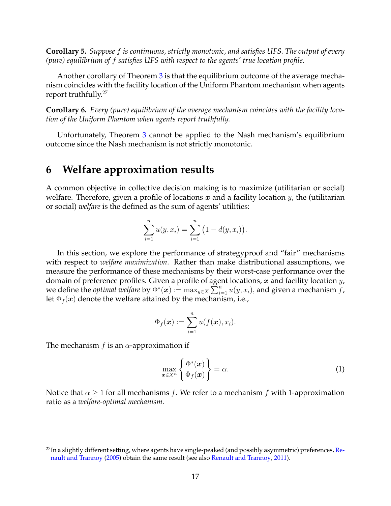**Corollary 5.** *Suppose* f *is continuous, strictly monotonic, and satisfies UFS. The output of every (pure) equilibrium of* f *satisfies UFS with respect to the agents' true location profile.*

Another corollary of Theorem [3](#page-15-0) is that the equilibrium outcome of the average mechanism coincides with the facility location of the Uniform Phantom mechanism when agents report truthfully.<sup>27</sup>

**Corollary 6.** *Every (pure) equilibrium of the average mechanism coincides with the facility location of the Uniform Phantom when agents report truthfully.*

Unfortunately, Theorem [3](#page-15-0) cannot be applied to the Nash mechanism's equilibrium outcome since the Nash mechanism is not strictly monotonic.

## <span id="page-16-0"></span>**6 Welfare approximation results**

A common objective in collective decision making is to maximize (utilitarian or social) welfare. Therefore, given a profile of locations x and a facility location  $y$ , the (utilitarian or social) *welfare* is the defined as the sum of agents' utilities:

$$
\sum_{i=1}^{n} u(y, x_i) = \sum_{i=1}^{n} (1 - d(y, x_i)).
$$

In this section, we explore the performance of strategyproof and "fair" mechanisms with respect to *welfare maximization*. Rather than make distributional assumptions, we measure the performance of these mechanisms by their worst-case performance over the domain of preference profiles. Given a profile of agent locations,  $x$  and facility location  $y$ , we define the *optimal welfare* by  $\Phi^*(x) := \max_{y \in X} \sum_{i=1}^n u(y, x_i)$ , and given a mechanism f, let  $\Phi_f(x)$  denote the welfare attained by the mechanism, i.e.,

$$
\Phi_f(\boldsymbol{x}) := \sum_{i=1}^n u(f(\boldsymbol{x}), x_i).
$$

The mechanism f is an  $\alpha$ -approximation if

$$
\max_{\boldsymbol{x}\in X^n} \left\{ \frac{\Phi^*(\boldsymbol{x})}{\Phi_f(\boldsymbol{x})} \right\} = \alpha.
$$
\n(1)

Notice that  $\alpha \geq 1$  for all mechanisms f. We refer to a mechanism f with 1-approximation ratio as a *welfare-optimal mechanism*.

<sup>&</sup>lt;sup>27</sup>In a slightly different setting, where agents have single-peaked (and possibly asymmetric) preferences, [Re](#page-23-17)[nault and Trannoy](#page-23-17) [\(2005\)](#page-23-17) obtain the same result (see also [Renault and Trannoy,](#page-23-18) [2011\)](#page-23-18).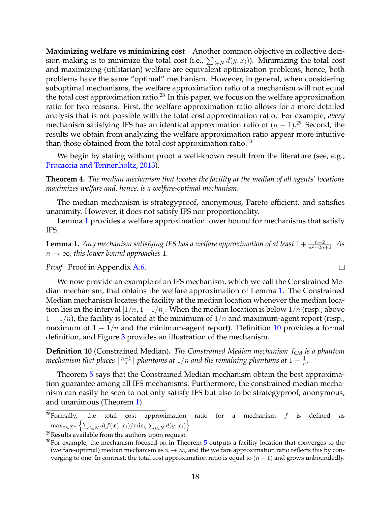**Maximizing welfare vs minimizing cost** Another common objective in collective decision making is to minimize the total cost (i.e.,  $\sum_{i\in N}d(y,x_i)$ ). Minimizing the total cost and maximizing (utilitarian) welfare are equivalent optimization problems; hence, both problems have the same "optimal" mechanism. However, in general, when considering suboptimal mechanisms, the welfare approximation ratio of a mechanism will not equal the total cost approximation ratio.<sup>28</sup> In this paper, we focus on the welfare approximation ratio for two reasons. First, the welfare approximation ratio allows for a more detailed analysis that is not possible with the total cost approximation ratio. For example, *every* mechanism satisfying IFS has an identical approximation ratio of  $(n-1).^{29}$  Second, the results we obtain from analyzing the welfare approximation ratio appear more intuitive than those obtained from the total cost approximation ratio. $30$ 

We begin by stating without proof a well-known result from the literature (see, e.g., [Procaccia and Tennenholtz,](#page-23-2) [2013\)](#page-23-2).

**Theorem 4.** *The median mechanism that locates the facility at the median of all agents' locations maximizes welfare and, hence, is a welfare-optimal mechanism.*

The median mechanism is strategyproof, anonymous, Pareto efficient, and satisfies unanimity. However, it does not satisfy IFS nor proportionality.

Lemma [1](#page-17-0) provides a welfare approximation lower bound for mechanisms that satisfy IFS.

<span id="page-17-0"></span>**Lemma 1.** Any mechanism satisfying IFS has a welfare approximation of at least  $1 + \frac{n-2}{n^2 - 2n + 2}$ . As  $n \to \infty$ , this lower bound approaches 1.

 $\Box$ 

*Proof.* Proof in Appendix [A.6.](#page-30-1)

We now provide an example of an IFS mechanism, which we call the Constrained Median mechanism, that obtains the welfare approximation of Lemma [1.](#page-17-0) The Constrained Median mechanism locates the facility at the median location whenever the median location lies in the interval  $[1/n, 1-1/n]$ . When the median location is below  $1/n$  (resp., above  $1 - 1/n$ , the facility is located at the minimum of  $1/n$  and maximum-agent report (resp., maximum of  $1 - 1/n$  and the minimum-agent report). Definition [10](#page-17-1) provides a formal definition, and Figure [3](#page-19-0) provides an illustration of the mechanism.

<span id="page-17-1"></span>**Definition 10** (Constrained Median)**.** *The Constrained Median mechanism* f*CM is a phantom mechanism that places*  $\lceil \frac{n-1}{2} \rceil$  $\frac{-1}{2} \rceil$  phantoms at  $1/n$  and the remaining phantoms at  $1-\frac{1}{n}$  $\frac{1}{n}$ .

Theorem [5](#page-18-0) says that the Constrained Median mechanism obtain the best approximation guarantee among all IFS mechanisms. Furthermore, the constrained median mechanism can easily be seen to not only satisfy IFS but also to be strategyproof, anonymous, and unanimous (Theorem [1\)](#page-10-0).

<sup>&</sup>lt;sup>28</sup>Formally, the total cost approximation ratio for a mechanism  $f$  is defined as  $\max_{\boldsymbol{x} \in X^n} \left\{ \sum_{i \in N} d(f(\boldsymbol{x}), x_i) / \min_y \sum_{i \in N} d(y, x_i) \right\}.$ 

<sup>&</sup>lt;sup>29</sup>Results available from the authors upon request.

 $30$ For example, the mechanism focused on in Theorem  $5$  outputs a facility location that converges to the (welfare-optimal) median mechanism as  $n \to \infty$ , and the welfare approximation ratio reflects this by converging to one. In contrast, the total cost approximation ratio is equal to  $(n - 1)$  and grows unboundedly.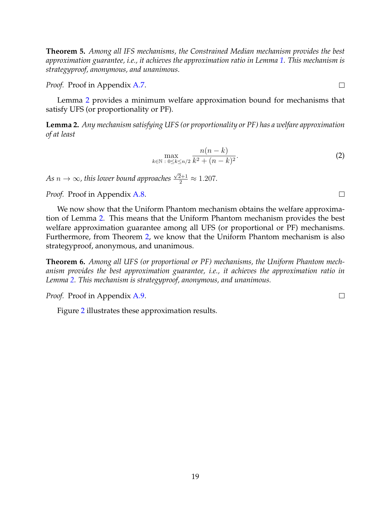<span id="page-18-0"></span>**Theorem 5.** *Among all IFS mechanisms, the Constrained Median mechanism provides the best approximation guarantee, i.e., it achieves the approximation ratio in Lemma [1.](#page-17-0) This mechanism is strategyproof, anonymous, and unanimous.*

*Proof.* Proof in Appendix [A.7.](#page-30-2)

Lemma [2](#page-18-1) provides a minimum welfare approximation bound for mechanisms that satisfy UFS (or proportionality or PF).

<span id="page-18-1"></span>**Lemma 2.** *Any mechanism satisfying UFS (or proportionality or PF) has a welfare approximation of at least*

$$
\max_{k \in \mathbb{N} \; : \; 0 \le k \le n/2} \frac{n(n-k)}{k^2 + (n-k)^2}.
$$
 (2)

*As* n → ∞*, this lower bound approaches*  $\frac{\sqrt{2}+1}{2} \approx 1.207.$ 

*Proof.* Proof in Appendix [A.8.](#page-33-0)

We now show that the Uniform Phantom mechanism obtains the welfare approximation of Lemma [2.](#page-18-1) This means that the Uniform Phantom mechanism provides the best welfare approximation guarantee among all UFS (or proportional or PF) mechanisms. Furthermore, from Theorem [2,](#page-12-1) we know that the Uniform Phantom mechanism is also strategyproof, anonymous, and unanimous.

<span id="page-18-3"></span>**Theorem 6.** *Among all UFS (or proportional or PF) mechanisms, the Uniform Phantom mechanism provides the best approximation guarantee, i.e., it achieves the approximation ratio in Lemma [2.](#page-18-1) This mechanism is strategyproof, anonymous, and unanimous.*

*Proof.* Proof in Appendix [A.9.](#page-34-0)

Figure [2](#page-19-1) illustrates these approximation results.

<span id="page-18-2"></span> $\Box$ 

 $\Box$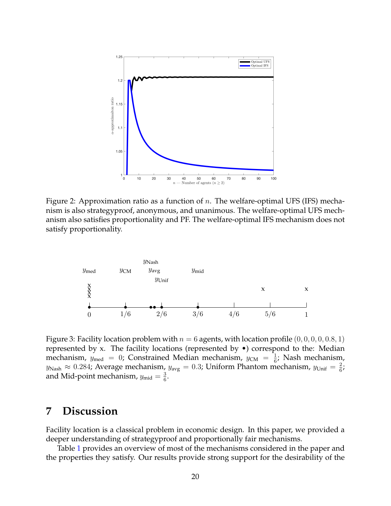<span id="page-19-1"></span>

Figure 2: Approximation ratio as a function of  $n$ . The welfare-optimal UFS (IFS) mechanism is also strategyproof, anonymous, and unanimous. The welfare-optimal UFS mechanism also satisfies proportionality and PF. The welfare-optimal IFS mechanism does not satisfy proportionality.

<span id="page-19-0"></span>

Figure 3: Facility location problem with  $n = 6$  agents, with location profile  $(0, 0, 0, 0, 0.8, 1)$ represented by x. The facility locations (represented by  $\bullet$ ) correspond to the: Median mechanism,  $y_{\text{med}} = 0$ ; Constrained Median mechanism,  $y_{\text{CM}} = \frac{1}{6}$  $\frac{1}{6}$ ; Nash mechanism,  $y_{\text{Nash}} \approx 0.284$ ; Average mechanism,  $y_{\text{avg}} = 0.3$ ; Uniform Phantom mechanism,  $y_{\text{Unif}} = \frac{2}{6}$  $\frac{2}{6}$ ; and Mid-point mechanism,  $y_{\text{mid}} = \frac{3}{6}$  $\frac{3}{6}$ .

## **7 Discussion**

Facility location is a classical problem in economic design. In this paper, we provided a deeper understanding of strategyproof and proportionally fair mechanisms.

Table [1](#page-20-4) provides an overview of most of the mechanisms considered in the paper and the properties they satisfy. Our results provide strong support for the desirability of the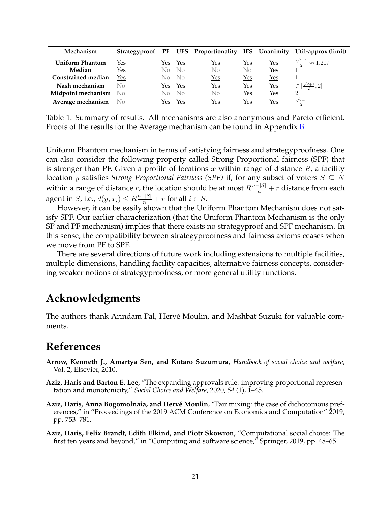<span id="page-20-4"></span>

| Mechanism              |            |     |                | Strategyproof PF UFS Proportionality IFS Unanimity |            |            | Util-approx (limit)                  |
|------------------------|------------|-----|----------------|----------------------------------------------------|------------|------------|--------------------------------------|
| <b>Uniform Phantom</b> | <u>Yes</u> | Yes | Yes            | <u>Yes</u>                                         | <u>Yes</u> | $Yes$      | $\frac{\sqrt{2}+1}{2} \approx 1.207$ |
| Median                 | <u>Yes</u> | No. | $\overline{N}$ | No                                                 | No         | $Yes$      |                                      |
| Constrained median     | $Yes$      | No. | No.            | <u>Yes</u>                                         | <u>Yes</u> | <u>Yes</u> |                                      |
| Nash mechanism         | No         | Yes | Yes            | Yes                                                | $Yes$      | <u>Yes</u> | $\in [\frac{\sqrt{2}+1}{2}, 2]$      |
| Midpoint mechanism     | - No       | No  | $N_{\Omega}$   | No                                                 | <u>Yes</u> | <u>Yes</u> | 2                                    |
| Average mechanism      | - No       | Yes | Yes            | Yes                                                | Yes        | Yes        | $\sqrt{2}+1$                         |

Table 1: Summary of results. All mechanisms are also anonymous and Pareto efficient. Proofs of the results for the Average mechanism can be found in Appendix [B.](#page-36-1)

Uniform Phantom mechanism in terms of satisfying fairness and strategyproofness. One can also consider the following property called Strong Proportional fairness (SPF) that is stronger than PF. Given a profile of locations x within range of distance  $R<sub>t</sub>$ , a facility location y satisfies *Strong Proportional Fairness (SPF)* if, for any subset of voters  $S ⊆ N$ within a range of distance  $r$ , the location should be at most  $R\frac{n-|S|}{n}+r$  distance from each agent in  $S$ , i.e.,  $d(y, x_i) \leq R \frac{n-|S|}{n} + r$  for all  $i \in S$ .

However, it can be easily shown that the Uniform Phantom Mechanism does not satisfy SPF. Our earlier characterization (that the Uniform Phantom Mechanism is the only SP and PF mechanism) implies that there exists no strategyproof and SPF mechanism. In this sense, the compatibility beween strategyproofness and fairness axioms ceases when we move from PF to SPF.

There are several directions of future work including extensions to multiple facilities, multiple dimensions, handling facility capacities, alternative fairness concepts, considering weaker notions of strategyproofness, or more general utility functions.

## **Acknowledgments**

The authors thank Arindam Pal, Hervé Moulin, and Mashbat Suzuki for valuable comments.

## **References**

- <span id="page-20-1"></span>**Arrow, Kenneth J., Amartya Sen, and Kotaro Suzumura**, *Handbook of social choice and welfare*, Vol. 2, Elsevier, 2010.
- <span id="page-20-3"></span>**Aziz, Haris and Barton E. Lee**, "The expanding approvals rule: improving proportional representation and monotonicity," *Social Choice and Welfare*, 2020, *54* (1), 1–45.
- <span id="page-20-0"></span>Aziz, Haris, Anna Bogomolnaia, and Hervé Moulin, "Fair mixing: the case of dichotomous preferences," in "Proceedings of the 2019 ACM Conference on Economics and Computation" 2019, pp. 753–781.
- <span id="page-20-2"></span>**Aziz, Haris, Felix Brandt, Edith Elkind, and Piotr Skowron**, "Computational social choice: The first ten years and beyond," in "Computing and software science," Springer, 2019, pp. 48–65.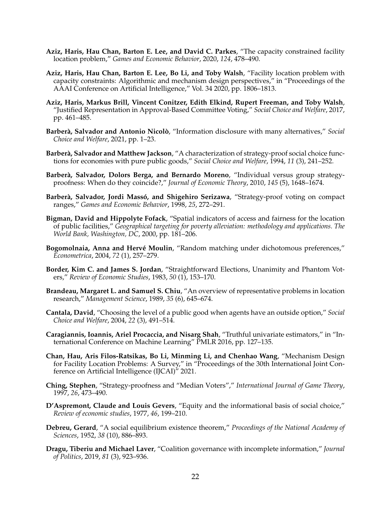- <span id="page-21-7"></span>**Aziz, Haris, Hau Chan, Barton E. Lee, and David C. Parkes**, "The capacity constrained facility location problem," *Games and Economic Behavior*, 2020, *124*, 478–490.
- <span id="page-21-8"></span>**Aziz, Haris, Hau Chan, Barton E. Lee, Bo Li, and Toby Walsh**, "Facility location problem with capacity constraints: Algorithmic and mechanism design perspectives," in "Proceedings of the AAAI Conference on Artificial Intelligence," Vol. 34 2020, pp. 1806–1813.
- <span id="page-21-16"></span>**Aziz, Haris, Markus Brill, Vincent Conitzer, Edith Elkind, Rupert Freeman, and Toby Walsh**, "Justified Representation in Approval-Based Committee Voting," *Social Choice and Welfare*, 2017, pp. 461–485.
- <span id="page-21-1"></span>**Barberà, Salvador and Antonio Nicolò**, "Information disclosure with many alternatives," *Social Choice and Welfare*, 2021, pp. 1–23.
- <span id="page-21-4"></span>**Barberà, Salvador and Matthew Jackson, "A characterization of strategy-proof social choice func**tions for economies with pure public goods," *Social Choice and Welfare*, 1994, *11* (3), 241–252.
- <span id="page-21-15"></span>Barberà, Salvador, Dolors Berga, and Bernardo Moreno, "Individual versus group strategyproofness: When do they coincide?," *Journal of Economic Theory*, 2010, *145* (5), 1648–1674.
- <span id="page-21-5"></span>**Barberà, Salvador, Jordi Massó, and Shigehiro Serizawa, "Strategy-proof voting on compact** ranges," *Games and Economic Behavior*, 1998, *25*, 272–291.
- <span id="page-21-13"></span>**Bigman, David and Hippolyte Fofack**, "Spatial indicators of access and fairness for the location of public facilities," *Geographical targeting for poverty alleviation: methodology and applications. The World Bank, Washington, DC*, 2000, pp. 181–206.
- <span id="page-21-11"></span>**Bogomolnaia, Anna and Hervé Moulin, "Random matching under dichotomous preferences,"** *Econometrica*, 2004, *72* (1), 257–279.
- <span id="page-21-0"></span>**Border, Kim C. and James S. Jordan**, "Straightforward Elections, Unanimity and Phantom Voters," *Review of Economic Studies*, 1983, *50* (1), 153–170.
- <span id="page-21-3"></span>**Brandeau, Margaret L. and Samuel S. Chiu**, "An overview of representative problems in location research," *Management Science*, 1989, *35* (6), 645–674.
- <span id="page-21-9"></span>**Cantala, David**, "Choosing the level of a public good when agents have an outside option," *Social Choice and Welfare*, 2004, *22* (3), 491–514.
- <span id="page-21-14"></span>**Caragiannis, Ioannis, Ariel Procaccia, and Nisarg Shah**, "Truthful univariate estimators," in "International Conference on Machine Learning" PMLR 2016, pp. 127–135.
- <span id="page-21-10"></span>**Chan, Hau, Aris Filos-Ratsikas, Bo Li, Minming Li, and Chenhao Wang**, "Mechanism Design for Facility Location Problems: A Survey," in "Proceedings of the 30th International Joint Conference on Artificial Intelligence (IJCAI)" 2021.
- <span id="page-21-6"></span>**Ching, Stephen**, "Strategy-proofness and "Median Voters"," *International Journal of Game Theory*, 1997, *26*, 473–490.
- <span id="page-21-12"></span>**D'Aspremont, Claude and Louis Gevers**, "Equity and the informational basis of social choice," *Review of economic studies*, 1977, *46*, 199–210.
- <span id="page-21-17"></span>**Debreu, Gerard**, "A social equilibrium existence theorem," *Proceedings of the National Academy of Sciences*, 1952, *38* (10), 886–893.
- <span id="page-21-2"></span>**Dragu, Tiberiu and Michael Laver**, "Coalition governance with incomplete information," *Journal of Politics*, 2019, *81* (3), 923–936.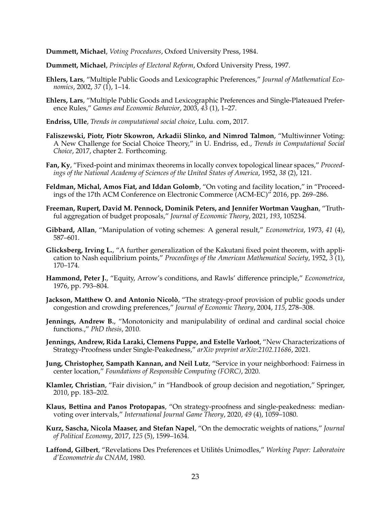<span id="page-22-17"></span>**Dummett, Michael**, *Voting Procedures*, Oxford University Press, 1984.

- <span id="page-22-9"></span>**Dummett, Michael**, *Principles of Electoral Reform*, Oxford University Press, 1997.
- <span id="page-22-6"></span>**Ehlers, Lars**, "Multiple Public Goods and Lexicographic Preferences," *Journal of Mathematical Economics*, 2002, *37* (1), 1–14.
- <span id="page-22-7"></span>**Ehlers, Lars**, "Multiple Public Goods and Lexicographic Preferences and Single-Plateaued Preference Rules," *Games and Economic Behavior*, 2003, *43* (1), 1–27.
- <span id="page-22-10"></span>**Endriss, Ulle**, *Trends in computational social choice*, Lulu. com, 2017.
- <span id="page-22-11"></span>**Faliszewski, Piotr, Piotr Skowron, Arkadii Slinko, and Nimrod Talmon**, "Multiwinner Voting: A New Challenge for Social Choice Theory," in U. Endriss, ed., *Trends in Computational Social Choice*, 2017, chapter 2. Forthcoming.
- <span id="page-22-19"></span>**Fan, Ky**, "Fixed-point and minimax theorems in locally convex topological linear spaces," *Proceedings of the National Academy of Sciences of the United States of America*, 1952, *38* (2), 121.
- <span id="page-22-0"></span>**Feldman, Michal, Amos Fiat, and Iddan Golomb**, "On voting and facility location," in "Proceedings of the 17th ACM Conference on Electronic Commerce (ACM-EC)" 2016, pp. 269–286.
- <span id="page-22-2"></span>**Freeman, Rupert, David M. Pennock, Dominik Peters, and Jennifer Wortman Vaughan**, "Truthful aggregation of budget proposals," *Journal of Economic Theory*, 2021, *193*, 105234.
- <span id="page-22-3"></span>**Gibbard, Allan**, "Manipulation of voting schemes: A general result," *Econometrica*, 1973, *41* (4), 587–601.
- <span id="page-22-18"></span>**Glicksberg, Irving L.**, "A further generalization of the Kakutani fixed point theorem, with application to Nash equilibrium points," *Proceedings of the American Mathematical Society*, 1952, *3* (1), 170–174.
- <span id="page-22-13"></span>**Hammond, Peter J.**, "Equity, Arrow's conditions, and Rawls' difference principle," *Econometrica*, 1976, pp. 793–804.
- <span id="page-22-8"></span>**Jackson, Matthew O. and Antonio Nicolò**, "The strategy-proof provision of public goods under congestion and crowding preferences," *Journal of Economic Theory*, 2004, *115*, 278–308.
- <span id="page-22-15"></span>**Jennings, Andrew B.**, "Monotonicity and manipulability of ordinal and cardinal social choice functions.," *PhD thesis*, 2010.
- <span id="page-22-4"></span>**Jennings, Andrew, Rida Laraki, Clemens Puppe, and Estelle Varloot**, "New Characterizations of Strategy-Proofness under Single-Peakedness," *arXiv preprint arXiv:2102.11686*, 2021.
- <span id="page-22-14"></span>**Jung, Christopher, Sampath Kannan, and Neil Lutz**, "Service in your neighborhood: Fairness in center location," *Foundations of Responsible Computing (FORC)*, 2020.
- <span id="page-22-12"></span>**Klamler, Christian**, "Fair division," in "Handbook of group decision and negotiation," Springer, 2010, pp. 183–202.
- <span id="page-22-5"></span>**Klaus, Bettina and Panos Protopapas**, "On strategy-proofness and single-peakedness: medianvoting over intervals," *International Journal Game Theory*, 2020, *49* (4), 1059–1080.
- <span id="page-22-1"></span>**Kurz, Sascha, Nicola Maaser, and Stefan Napel**, "On the democratic weights of nations," *Journal of Political Economy*, 2017, *125* (5), 1599–1634.
- <span id="page-22-16"></span>**Laffond, Gilbert**, "Revelations Des Preferences et Utilites Unimodles," ´ *Working Paper: Laboratoire d'Econometrie du CNAM*, 1980.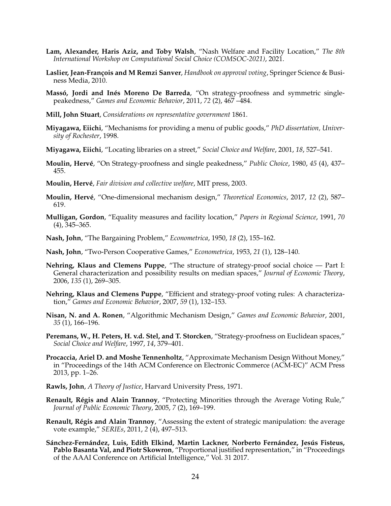- <span id="page-23-20"></span>**Lam, Alexander, Haris Aziz, and Toby Walsh**, "Nash Welfare and Facility Location," *The 8th International Workshop on Computational Social Choice (COMSOC-2021)*, 2021.
- <span id="page-23-13"></span>Laslier, Jean-François and M Remzi Sanver, *Handbook on approval voting*, Springer Science & Business Media, 2010.
- <span id="page-23-3"></span>**Massó, Jordi and Inés Moreno De Barreda**, "On strategy-proofness and symmetric singlepeakedness," *Games and Economic Behavior*, 2011, *72* (2), 467 –484.
- <span id="page-23-9"></span>**Mill, John Stuart**, *Considerations on representative government* 1861.
- <span id="page-23-7"></span>**Miyagawa, Eiichi**, "Mechanisms for providing a menu of public goods," *PhD dissertation, University of Rochester*, 1998.
- <span id="page-23-8"></span>**Miyagawa, Eiichi**, "Locating libraries on a street," *Social Choice and Welfare*, 2001, *18*, 527–541.
- <span id="page-23-0"></span>**Moulin, Hervé**, "On Strategy-proofness and single peakedness," *Public Choice*, 1980, 45 (4), 437– 455.
- <span id="page-23-14"></span>**Moulin, Herv´e**, *Fair division and collective welfare*, MIT press, 2003.
- <span id="page-23-16"></span>**Moulin, Herv´e**, "One-dimensional mechanism design," *Theoretical Economics*, 2017, *12* (2), 587– 619.
- <span id="page-23-15"></span>**Mulligan, Gordon**, "Equality measures and facility location," *Papers in Regional Science*, 1991, *70* (4), 345–365.
- <span id="page-23-10"></span>**Nash, John**, "The Bargaining Problem," *Econometrica*, 1950, *18* (2), 155–162.
- <span id="page-23-11"></span>**Nash, John**, "Two-Person Cooperative Games," *Econometrica*, 1953, *21* (1), 128–140.
- <span id="page-23-5"></span>**Nehring, Klaus and Clemens Puppe**, "The structure of strategy-proof social choice — Part I: General characterization and possibility results on median spaces," *Journal of Economic Theory*, 2006, *135* (1), 269–305.
- <span id="page-23-6"></span>**Nehring, Klaus and Clemens Puppe**, "Efficient and strategy-proof voting rules: A characterization," *Games and Economic Behavior*, 2007, *59* (1), 132–153.
- <span id="page-23-1"></span>**Nisan, N. and A. Ronen**, "Algorithmic Mechanism Design," *Games and Economic Behavior*, 2001, *35* (1), 166–196.
- <span id="page-23-4"></span>**Peremans, W., H. Peters, H. v.d. Stel, and T. Storcken**, "Strategy-proofness on Euclidean spaces," *Social Choice and Welfare*, 1997, *14*, 379–401.
- <span id="page-23-2"></span>**Procaccia, Ariel D. and Moshe Tennenholtz**, "Approximate Mechanism Design Without Money," in "Proceedings of the 14th ACM Conference on Electronic Commerce (ACM-EC)" ACM Press 2013, pp. 1–26.
- <span id="page-23-12"></span>**Rawls, John**, *A Theory of Justice*, Harvard University Press, 1971.
- <span id="page-23-17"></span>Renault, Régis and Alain Trannoy, "Protecting Minorities through the Average Voting Rule," *Journal of Public Economic Theory*, 2005, *7* (2), 169–199.
- <span id="page-23-18"></span>**Renault, Régis and Alain Trannoy**, "Assessing the extent of strategic manipulation: the average vote example," *SERIEs*, 2011, *2* (4), 497–513.
- <span id="page-23-19"></span>Sánchez-Fernández, Luis, Edith Elkind, Martin Lackner, Norberto Fernández, Jesús Fisteus, **Pablo Basanta Val, and Piotr Skowron**, "Proportional justified representation," in "Proceedings of the AAAI Conference on Artificial Intelligence," Vol. 31 2017.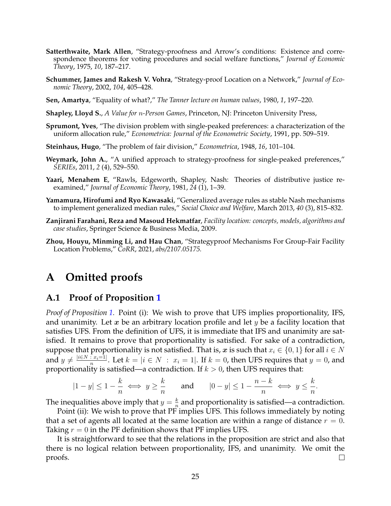- <span id="page-24-1"></span>**Satterthwaite, Mark Allen**, "Strategy-proofness and Arrow's conditions: Existence and correspondence theorems for voting procedures and social welfare functions," *Journal of Economic Theory*, 1975, *10*, 187–217.
- <span id="page-24-0"></span>**Schummer, James and Rakesh V. Vohra**, "Strategy-proof Location on a Network," *Journal of Economic Theory*, 2002, *104*, 405–428.
- <span id="page-24-5"></span>**Sen, Amartya**, "Equality of what?," *The Tanner lecture on human values*, 1980, *1*, 197–220.
- <span id="page-24-6"></span>**Shapley, Lloyd S.**, *A Value for* n*-Person Games*, Princeton, NJ: Princeton University Press,
- <span id="page-24-9"></span>**Sprumont, Yves**, "The division problem with single-peaked preferences: a characterization of the uniform allocation rule," *Econometrica: Journal of the Econometric Society*, 1991, pp. 509–519.
- <span id="page-24-2"></span>**Steinhaus, Hugo**, "The problem of fair division," *Econometrica*, 1948, *16*, 101–104.
- <span id="page-24-4"></span>**Weymark, John A., "A unified approach to strategy-proofness for single-peaked preferences,"** *SERIEs*, 2011, *2* (4), 529–550.
- <span id="page-24-7"></span>**Yaari, Menahem E**, "Rawls, Edgeworth, Shapley, Nash: Theories of distributive justice reexamined," *Journal of Economic Theory*, 1981, *24* (1), 1–39.
- <span id="page-24-11"></span>**Yamamura, Hirofumi and Ryo Kawasaki**, "Generalized average rules as stable Nash mechanisms to implement generalized median rules," *Social Choice and Welfare*, March 2013, *40* (3), 815–832.
- <span id="page-24-3"></span>**Zanjirani Farahani, Reza and Masoud Hekmatfar**, *Facility location: concepts, models, algorithms and case studies*, Springer Science & Business Media, 2009.
- <span id="page-24-8"></span>**Zhou, Houyu, Minming Li, and Hau Chan**, "Strategyproof Mechanisms For Group-Fair Facility Location Problems," *CoRR*, 2021, *abs/2107.05175.*

## **A Omitted proofs**

### <span id="page-24-10"></span>**A.1 Proof of Proposition [1](#page-8-0)**

*Proof of Proposition [1.](#page-8-0)* Point (i): We wish to prove that UFS implies proportionality, IFS, and unanimity. Let x be an arbitrary location profile and let y be a facility location that satisfies UFS. From the definition of UFS, it is immediate that IFS and unanimity are satisfied. It remains to prove that proportionality is satisfied. For sake of a contradiction, suppose that proportionality is not satisfied. That is, x is such that  $x_i \in \{0, 1\}$  for all  $i \in N$ and  $y \neq \frac{|i \in N : x_i = 1|}{n}$  $\frac{n}{n}$ . Let  $k = |i \in N : x_i = 1|$ . If  $k = 0$ , then UFS requires that  $y = 0$ , and proportionality is satisfied—a contradiction. If  $k > 0$ , then UFS requires that:

$$
|1-y| \le 1 - \frac{k}{n} \iff y \ge \frac{k}{n} \qquad \text{and} \qquad |0-y| \le 1 - \frac{n-k}{n} \iff y \le \frac{k}{n}.
$$

The inequalities above imply that  $y = \frac{k}{n}$  $\frac{\kappa}{n}$  and proportionality is satisfied—a contradiction.

Point (ii): We wish to prove that PF implies UFS. This follows immediately by noting that a set of agents all located at the same location are within a range of distance  $r = 0$ . Taking  $r = 0$  in the PF definition shows that PF implies UFS.

It is straightforward to see that the relations in the proposition are strict and also that there is no logical relation between proportionality, IFS, and unanimity. We omit the proofs.  $\Box$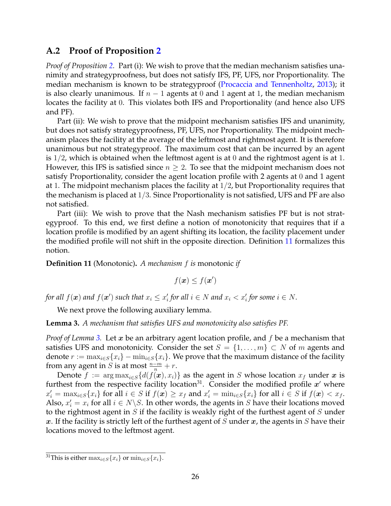### <span id="page-25-0"></span>**A.2 Proof of Proposition [2](#page-9-0)**

*Proof of Proposition [2.](#page-9-0)* Part (i): We wish to prove that the median mechanism satisfies unanimity and strategyproofness, but does not satisfy IFS, PF, UFS, nor Proportionality. The median mechanism is known to be strategyproof [\(Procaccia and Tennenholtz,](#page-23-2) [2013\)](#page-23-2); it is also clearly unanimous. If  $n-1$  agents at 0 and 1 agent at 1, the median mechanism locates the facility at 0. This violates both IFS and Proportionality (and hence also UFS and PF).

Part (ii): We wish to prove that the midpoint mechanism satisfies IFS and unanimity, but does not satisfy strategyproofness, PF, UFS, nor Proportionality. The midpoint mechanism places the facility at the average of the leftmost and rightmost agent. It is therefore unanimous but not strategyproof. The maximum cost that can be incurred by an agent is  $1/2$ , which is obtained when the leftmost agent is at 0 and the rightmost agent is at 1. However, this IFS is satisfied since  $n \geq 2$ . To see that the midpoint mechanism does not satisfy Proportionality, consider the agent location profile with 2 agents at 0 and 1 agent at 1. The midpoint mechanism places the facility at  $1/2$ , but Proportionality requires that the mechanism is placed at 1/3. Since Proportionality is not satisfied, UFS and PF are also not satisfied.

Part (iii): We wish to prove that the Nash mechanism satisfies PF but is not strategyproof. To this end, we first define a notion of monotonicity that requires that if a location profile is modified by an agent shifting its location, the facility placement under the modified profile will not shift in the opposite direction. Definition [11](#page-25-1) formalizes this notion.

<span id="page-25-1"></span>**Definition 11** (Monotonic)**.** *A mechanism* f *is* monotonic *if*

$$
f(\boldsymbol{x}) \leq f(\boldsymbol{x}')
$$

for all  $f(\boldsymbol{x})$  and  $f(\boldsymbol{x}')$  such that  $x_i \leq x'_i$  for all  $i \in N$  and  $x_i < x'_i$  for some  $i \in N$ .

We next prove the following auxiliary lemma.

<span id="page-25-2"></span>**Lemma 3.** *A mechanism that satisfies UFS and monotonicity also satisfies PF.*

*Proof of Lemma* [3.](#page-25-2) Let x be an arbitrary agent location profile, and f be a mechanism that satisfies UFS and monotonicity. Consider the set  $S = \{1, \ldots, m\} \subset N$  of m agents and denote  $r := \max_{i \in S} \{x_i\} - \min_{i \in S} \{x_i\}$ . We prove that the maximum distance of the facility from any agent in *S* is at most  $\frac{n-m}{n} + r$ .

Denote  $f := \arg \max_{i \in S} \{d(f(\boldsymbol{x}), x_i)\}\$ as the agent in S whose location  $x_f$  under x is furthest from the respective facility location<sup>31</sup>. Consider the modified profile  $x'$  where  $x_i' = \max_{i \in S} \{x_i\}$  for all  $i \in S$  if  $f(\boldsymbol{x}) \ge x_f$  and  $x_i' = \min_{i \in S} \{x_i\}$  for all  $i \in S$  if  $f(\boldsymbol{x}) < x_f$ . Also,  $x'_i = x_i$  for all  $i \in N \setminus S$ . In other words, the agents in S have their locations moved to the rightmost agent in  $S$  if the facility is weakly right of the furthest agent of  $S$  under x. If the facility is strictly left of the furthest agent of  $S$  under  $x$ , the agents in  $S$  have their locations moved to the leftmost agent.

<sup>&</sup>lt;sup>31</sup>This is either  $\max_{i \in S}{x_i}$  or  $\min_{i \in S}{x_i}$ .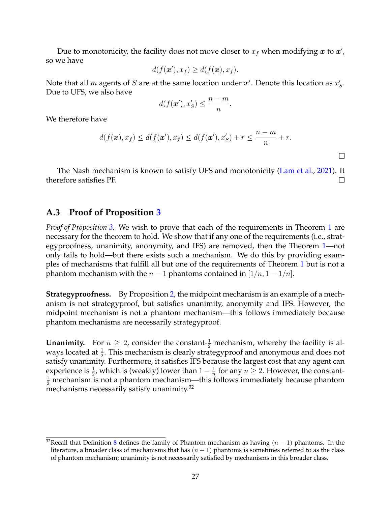Due to monotonicity, the facility does not move closer to  $x_f$  when modifying  $\bm{x}$  to  $\bm{x}'$ , so we have

$$
d(f(\mathbf{x}'), x_f) \geq d(f(\mathbf{x}), x_f).
$$

Note that all  $m$  agents of  $S$  are at the same location under  $\boldsymbol{x}'$ . Denote this location as  $x'_S$ . Due to UFS, we also have

$$
d(f(\mathbf{x}'), x_S') \leq \frac{n-m}{n}.
$$

We therefore have

$$
d(f(\boldsymbol{x}), x_f) \leq d(f(\boldsymbol{x}'), x_f) \leq d(f(\boldsymbol{x}'), x'_S) + r \leq \frac{n-m}{n} + r.
$$

 $\Box$ 

The Nash mechanism is known to satisfy UFS and monotonicity [\(Lam et al.,](#page-23-20) [2021\)](#page-23-20). It therefore satisfies PF.  $\Box$ 

### <span id="page-26-0"></span>**A.3 Proof of Proposition [3](#page-11-0)**

*Proof of Proposition [3.](#page-11-0)* We wish to prove that each of the requirements in Theorem [1](#page-10-0) are necessary for the theorem to hold. We show that if any one of the requirements (i.e., strategyproofness, unanimity, anonymity, and IFS) are removed, then the Theorem [1—](#page-10-0)not only fails to hold—but there exists such a mechanism. We do this by providing examples of mechanisms that fulfill all but one of the requirements of Theorem [1](#page-10-0) but is not a phantom mechanism with the  $n - 1$  phantoms contained in  $[1/n, 1 - 1/n]$ .

**Strategyproofness.** By Proposition [2,](#page-9-0) the midpoint mechanism is an example of a mechanism is not strategyproof, but satisfies unanimity, anonymity and IFS. However, the midpoint mechanism is not a phantom mechanism—this follows immediately because phantom mechanisms are necessarily strategyproof.

**Unanimity.** For  $n \geq 2$ , consider the constant- $\frac{1}{2}$  mechanism, whereby the facility is always located at  $\frac{1}{2}$ . This mechanism is clearly strategyproof and anonymous and does not satisfy unanimity. Furthermore, it satisfies IFS because the largest cost that any agent can experience is  $\frac{1}{2}$ , which is (weakly) lower than  $1-\frac{1}{n}$  $\frac{1}{n}$  for any  $n \geq 2$ . However, the constant- $\frac{1}{2}$  mechanism is not a phantom mechanism—this follows immediately because phantom mechanisms necessarily satisfy unanimity.<sup>32</sup>

<sup>&</sup>lt;sup>32</sup>Recall that Definition [8](#page-10-1) defines the family of Phantom mechanism as having  $(n - 1)$  phantoms. In the literature, a broader class of mechanisms that has  $(n + 1)$  phantoms is sometimes referred to as the class of phantom mechanism; unanimity is not necessarily satisfied by mechanisms in this broader class.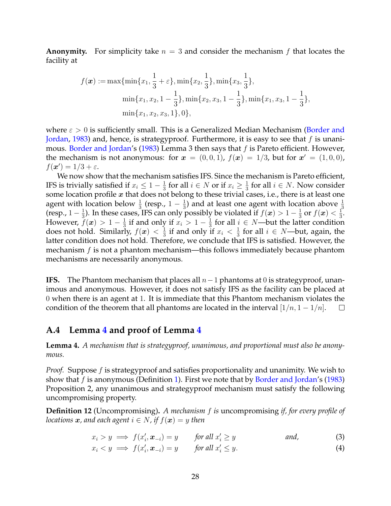**Anonymity.** For simplicity take  $n = 3$  and consider the mechanism f that locates the facility at

$$
f(\boldsymbol{x}) := \max\{\min\{x_1, \frac{1}{3} + \varepsilon\}, \min\{x_2, \frac{1}{3}\}, \min\{x_3, \frac{1}{3}\},\
$$

$$
\min\{x_1, x_2, 1 - \frac{1}{3}\}, \min\{x_2, x_3, 1 - \frac{1}{3}\}, \min\{x_1, x_3, 1 - \frac{1}{3}\},\
$$

$$
\min\{x_1, x_2, x_3, 1\}, 0\},
$$

where  $\varepsilon > 0$  is sufficiently small. This is a Generalized Median Mechanism [\(Border and](#page-21-0) [Jordan,](#page-21-0) [1983\)](#page-21-0) and, hence, is strategyproof. Furthermore, it is easy to see that  $f$  is unani-mous. [Border and Jordan'](#page-21-0)s [\(1983\)](#page-21-0) Lemma 3 then says that  $f$  is Pareto efficient. However, the mechanism is not anonymous: for  $\boldsymbol{x} = (0,0,1)$ ,  $f(\boldsymbol{x}) = 1/3$ , but for  $\boldsymbol{x}' = (1,0,0)$ ,  $f(\boldsymbol{x}') = 1/3 + \varepsilon.$ 

We now show that the mechanism satisfies IFS. Since the mechanism is Pareto efficient, IFS is trivially satisfied if  $x_i \leq 1 - \frac{1}{3}$  $\frac{1}{3}$  for all  $i \in N$  or if  $x_i \geq \frac{1}{3}$  $\frac{1}{3}$  for all  $i \in N$ . Now consider some location profile  $x$  that does not belong to these trivial cases, i.e., there is at least one agent with location below  $\frac{1}{3}$  (resp.,  $1-\frac{1}{3}$  $\frac{1}{3}$ ) and at least one agent with location above  $\frac{1}{3}$ (resp.,  $1-\frac{1}{3}$  $\frac{1}{3}$ ). In these cases, IFS can only possibly be violated if  $f(\boldsymbol{x}) > 1 - \frac{1}{3}$  $\frac{1}{3}$  or  $f(\boldsymbol{x}) < \frac{1}{3}$  $\frac{1}{3}$ . However,  $\tilde{f}(\boldsymbol{x}) > 1 - \frac{1}{3}$  $\frac{1}{3}$  if and only if  $x_i > 1 - \frac{1}{3}$  $\frac{1}{3}$  for all  $i \in N$ —but the latter condition does not hold. Similarly,  $f(x) < \frac{1}{3}$  $\frac{1}{3}$  if and only if  $x_i < \frac{1}{3}$  $\frac{1}{3}$  for all  $i \in N$ —but, again, the latter condition does not hold. Therefore, we conclude that IFS is satisfied. However, the mechanism  $f$  is not a phantom mechanism—this follows immediately because phantom mechanisms are necessarily anonymous.

**IFS.** The Phantom mechanism that places all  $n-1$  phantoms at 0 is strategyproof, unanimous and anonymous. However, it does not satisfy IFS as the facility can be placed at 0 when there is an agent at 1. It is immediate that this Phantom mechanism violates the condition of the theorem that all phantoms are located in the interval  $[1/n, 1 - 1/n]$ .  $\begin{array}{c} \square \end{array}$ 

### <span id="page-27-1"></span>**A.4 Lemma [4](#page-27-0) and proof of Lemma [4](#page-27-0)**

<span id="page-27-0"></span>**Lemma 4.** *A mechanism that is strategyproof, unanimous, and proportional must also be anonymous.*

*Proof.* Suppose f is strategyproof and satisfies proportionality and unanimity. We wish to show that f is anonymous (Definition [1\)](#page-5-1). First we note that by [Border and Jordan'](#page-21-0)s [\(1983\)](#page-21-0) Proposition 2, any unanimous and strategyproof mechanism must satisfy the following uncompromising property.

**Definition 12** (Uncompromising)**.** *A mechanism* f *is* uncompromising *if, for every profile of locations*  $x$ *, and each agent*  $i \in N$ *, if*  $f(x) = y$  *then* 

$$
x_i > y \implies f(x'_i, \mathbf{x}_{-i}) = y \qquad \text{for all } x'_i \ge y \qquad \text{and,} \qquad (3)
$$

$$
x_i < y \implies f(x'_i, \mathbf{x}_{-i}) = y \qquad \text{for all } x'_i \leq y. \tag{4}
$$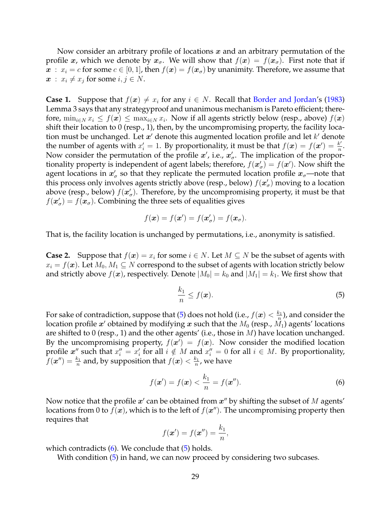Now consider an arbitrary profile of locations  $x$  and an arbitrary permutation of the profile x, which we denote by  $x_{\sigma}$ . We will show that  $f(x) = f(x_{\sigma})$ . First note that if  $x : x_i = c$  for some  $c \in [0,1]$ , then  $f(x) = f(x)$  by unanimity. Therefore, we assume that  $x : x_i \neq x_j$  for some  $i, j \in N$ .

**Case 1.** Suppose that  $f(x) \neq x_i$  for any  $i \in N$ . Recall that [Border and Jordan'](#page-21-0)s [\(1983\)](#page-21-0) Lemma 3 says that any strategyproof and unanimous mechanism is Pareto efficient; therefore,  $\min_{i \in N} x_i \le f(\boldsymbol{x}) \le \max_{i \in N} x_i$ . Now if all agents strictly below (resp., above)  $f(\boldsymbol{x})$ shift their location to 0 (resp., 1), then, by the uncompromising property, the facility location must be unchanged. Let  $x'$  denote this augmented location profile and let  $k'$  denote the number of agents with  $x'_i = 1$ . By proportionality, it must be that  $f(\boldsymbol{x}) = f(\boldsymbol{x}') = \frac{k'}{n}$  $\frac{k'}{n}$  . Now consider the permutation of the profile  $x'$ , i.e.,  $x'_{\sigma}$ . The implication of the proportionality property is independent of agent labels; therefore,  $f(\mathbf{x}'_{\sigma}) = f(\mathbf{x}')$ . Now shift the agent locations in  $x'_\sigma$  so that they replicate the permuted location profile  $x_\sigma$ —note that this process only involves agents strictly above (resp., below)  $f(\mathbf{x}'_{\sigma})$  moving to a location above (resp., below)  $f(\mathbf{x}'_{\sigma})$ . Therefore, by the uncompromising property, it must be that  $f(\mathbf{x}'_{\sigma}) = f(\mathbf{x}_{\sigma})$ . Combining the three sets of equalities gives

$$
f(\boldsymbol{x}) = f(\boldsymbol{x}') = f(\boldsymbol{x}'_{\sigma}) = f(\boldsymbol{x}_{\sigma}).
$$

That is, the facility location is unchanged by permutations, i.e., anonymity is satisfied.

**Case 2.** Suppose that  $f(x) = x_i$  for some  $i \in N$ . Let  $M \subseteq N$  be the subset of agents with  $x_i = f(\boldsymbol{x})$ . Let  $M_0, M_1 \subseteq N$  correspond to the subset of agents with location strictly below and strictly above  $f(x)$ , respectively. Denote  $|M_0| = k_0$  and  $|M_1| = k_1$ . We first show that

<span id="page-28-1"></span><span id="page-28-0"></span>
$$
\frac{k_1}{n} \le f(\boldsymbol{x}).\tag{5}
$$

For sake of contradiction, suppose that [\(5\)](#page-28-0) does not hold (i.e.,  $f(\boldsymbol{x}) < \frac{k_1}{n}$  $\frac{1}{n}$ ), and consider the location profile  $\boldsymbol{x}^\prime$  obtained by modifying  $\boldsymbol{x}$  such that the  $M_0$  (resp.,  $\tilde{M_1}$ ) agents' locations are shifted to 0 (resp., 1) and the other agents' (i.e., those in  $M$ ) have location unchanged. By the uncompromising property,  $f(x') = f(x)$ . Now consider the modified location profile  $\boldsymbol{x}''$  such that  $x''_i = x'_i$  for all  $i \notin M$  and  $x''_i = 0$  for all  $i \in M$ . By proportionality,  $f(\boldsymbol{x}'') = \frac{k_1}{n}$  and, by supposition that  $f(\boldsymbol{x}) < \frac{k_1}{n}$  $\frac{k_1}{n}$ , we have

$$
f(\mathbf{x}') = f(\mathbf{x}) < \frac{k_1}{n} = f(\mathbf{x}''). \tag{6}
$$

Now notice that the profile  $x'$  can be obtained from  $x''$  by shifting the subset of  $M$  agents' locations from 0 to  $f(x)$ , which is to the left of  $f(x'')$ . The uncompromising property then requires that

$$
f(\boldsymbol{x}') = f(\boldsymbol{x}'') = \frac{k_1}{n},
$$

which contradicts  $(6)$ . We conclude that  $(5)$  holds.

With condition [\(5\)](#page-28-0) in hand, we can now proceed by considering two subcases.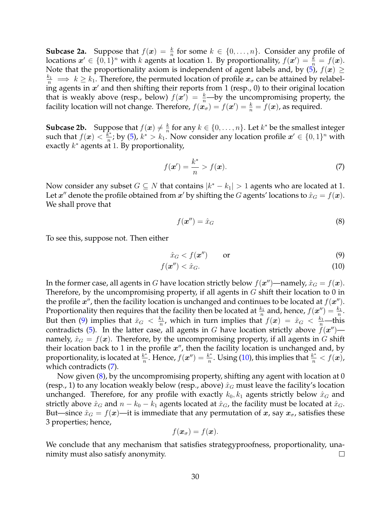**Subcase 2a.** Suppose that  $f(x) = \frac{k}{n}$  for some  $k \in \{0, ..., n\}$ . Consider any profile of locations  $\bm{x}' \in \{0,1\}^n$  with  $k$  agents at location 1. By proportionality,  $f(\bm{x}') = \frac{k}{n} = f(\bm{x})$ . Note that the proportionality axiom is independent of agent labels and, by [\(5\)](#page-28-0),  $f(x) \ge$  $\frac{k_1}{n} \implies k \geq k_1$ . Therefore, the permuted location of profile  $x_{\sigma}$  can be attained by relabeling agents in  $x'$  and then shifting their reports from 1 (resp., 0) to their original location that is weakly above (resp., below)  $f(x') = \frac{k}{n}$  by the uncompromising property, the facility location will not change. Therefore,  $f(\mathbf{x}_{\sigma}) = f(\mathbf{x}') = \frac{k}{n} = f(\mathbf{x})$ , as required.

**Subcase 2b.** Suppose that  $f(x) \neq \frac{k}{n}$ sose that  $f(x) \neq \frac{k}{n}$  for any  $k \in \{0, \ldots, n\}$ . Let  $k^*$  be the smallest integer such that  $f(\boldsymbol{x}) < \frac{k}{n}$  $\frac{k^*}{n}$ ; by [\(5\)](#page-28-0),  $k^* > k_1$ . Now consider any location profile  $\boldsymbol{x}' \in \{0,1\}^n$  with exactly  $k^*$  agents at 1. By proportionality,

$$
f(\boldsymbol{x}') = \frac{k^*}{n} > f(\boldsymbol{x}).\tag{7}
$$

Now consider any subset  $G \subseteq N$  that contains  $|k^* - k_1| > 1$  agents who are located at 1. Let  $x''$  denote the profile obtained from  $x'$  by shifting the  $G$  agents' locations to  $\hat{x}_G = f(\boldsymbol{x})$ . We shall prove that

<span id="page-29-3"></span><span id="page-29-2"></span><span id="page-29-1"></span><span id="page-29-0"></span>
$$
f(\mathbf{x}^{\prime\prime}) = \hat{x}_G \tag{8}
$$

To see this, suppose not. Then either

$$
\hat{x}_G < f(\mathbf{x}^{\prime\prime}) \qquad \text{or} \tag{9}
$$

$$
f(\mathbf{x}'') < \hat{x}_G. \tag{10}
$$

In the former case, all agents in G have location strictly below  $f(\mathbf{x}'')$ —namely,  $\hat{x}_G = f(\mathbf{x})$ . Therefore, by the uncompromising property, if all agents in  $G$  shift their location to 0 in the profile  $x''$ , then the facility location is unchanged and continues to be located at  $f(x'')$ . Proportionality then requires that the facility then be located at  $\frac{k_1}{n}$  and, hence,  $f(\boldsymbol{x}'') = \frac{k_1}{n}$ . But then [\(9\)](#page-29-0) implies that  $\hat{x}_G < \frac{k_1}{n}$  $\frac{k_1}{n}$ , which in turn implies that  $f(\boldsymbol{x}) = \hat{x}_G < \frac{k_1}{n}$  this contradicts [\(5\)](#page-28-0). In the latter case, all agents in G have location strictly above  $\ddot{f}(\boldsymbol{x}^{\prime\prime})$  namely,  $\hat{x}_G = f(x)$ . Therefore, by the uncompromising property, if all agents in G shift their location back to 1 in the profile  $x''$ , then the facility location is unchanged and, by proportionality, is located at  $\frac{k^*}{n}$  $\frac{k^*}{n}$ . Hence,  $f(\boldsymbol{x}'') = \frac{k^*}{n}$  $\frac{k^*}{n}$ . Using [\(10\)](#page-29-1), this implies that  $\frac{k^*}{n} < f(\bm{x})$ , which contradicts [\(7\)](#page-29-2).

Now given  $(8)$ , by the uncompromising property, shifting any agent with location at 0 (resp., 1) to any location weakly below (resp., above)  $\hat{x}_G$  must leave the facility's location unchanged. Therefore, for any profile with exactly  $k_0, k_1$  agents strictly below  $\hat{x}_G$  and strictly above  $\hat{x}_G$  and  $n - k_0 - k_1$  agents located at  $\hat{x}_G$ , the facility must be located at  $\hat{x}_G$ . But—since  $\hat{x}_G = f(x)$ —it is immediate that any permutation of x, say  $x_{\sigma}$ , satisfies these 3 properties; hence,

$$
f(\boldsymbol{x}_{\sigma}) = f(\boldsymbol{x}).
$$

We conclude that any mechanism that satisfies strategyproofness, proportionality, unanimity must also satisfy anonymity.  $\Box$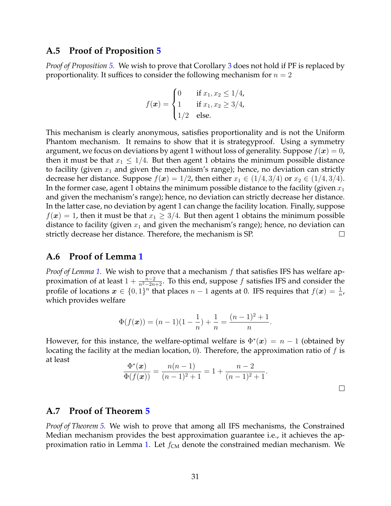### <span id="page-30-0"></span>**A.5 Proof of Proposition [5](#page-13-0)**

*Proof of Proposition [5.](#page-13-0)* We wish to prove that Corollary [3](#page-13-1) does not hold if PF is replaced by proportionality. It suffices to consider the following mechanism for  $n = 2$ 

$$
f(\mathbf{x}) = \begin{cases} 0 & \text{if } x_1, x_2 \le 1/4, \\ 1 & \text{if } x_1, x_2 \ge 3/4, \\ 1/2 & \text{else.} \end{cases}
$$

This mechanism is clearly anonymous, satisfies proportionality and is not the Uniform Phantom mechanism. It remains to show that it is strategyproof. Using a symmetry argument, we focus on deviations by agent 1 without loss of generality. Suppose  $f(x) = 0$ , then it must be that  $x_1 \leq 1/4$ . But then agent 1 obtains the minimum possible distance to facility (given  $x_1$  and given the mechanism's range); hence, no deviation can strictly decrease her distance. Suppose  $f(x) = 1/2$ , then either  $x_1 \in (1/4, 3/4)$  or  $x_2 \in (1/4, 3/4)$ . In the former case, agent 1 obtains the minimum possible distance to the facility (given  $x_1$ and given the mechanism's range); hence, no deviation can strictly decrease her distance. In the latter case, no deviation by agent 1 can change the facility location. Finally, suppose  $f(\mathbf{x}) = 1$ , then it must be that  $x_1 \geq 3/4$ . But then agent 1 obtains the minimum possible distance to facility (given  $x_1$  and given the mechanism's range); hence, no deviation can strictly decrease her distance. Therefore, the mechanism is SP.  $\Box$ 

#### <span id="page-30-1"></span>**A.6 Proof of Lemma [1](#page-17-0)**

*Proof of Lemma [1.](#page-17-0)* We wish to prove that a mechanism f that satisfies IFS has welfare approximation of at least  $1 + \frac{n-2}{n^2 - 2n + 2}$ . To this end, suppose f satisfies IFS and consider the profile of locations  $\bm{x} \in \{0,1\}^n$  that places  $n-1$  agents at 0. IFS requires that  $f(\bm{x}) = \frac{1}{n}$ , which provides welfare

$$
\Phi(f(\boldsymbol{x})) = (n-1)(1-\frac{1}{n}) + \frac{1}{n} = \frac{(n-1)^2 + 1}{n}.
$$

However, for this instance, the welfare-optimal welfare is  $\Phi^*(x) = n - 1$  (obtained by locating the facility at the median location, 0). Therefore, the approximation ratio of  $f$  is at least

$$
\frac{\Phi^*(\boldsymbol{x})}{\Phi(f(\boldsymbol{x}))} = \frac{n(n-1)}{(n-1)^2 + 1} = 1 + \frac{n-2}{(n-1)^2 + 1}.
$$

### <span id="page-30-2"></span>**A.7 Proof of Theorem [5](#page-18-0)**

*Proof of Theorem [5.](#page-18-0)* We wish to prove that among all IFS mechanisms, the Constrained Median mechanism provides the best approximation guarantee i.e., it achieves the ap-proximation ratio in Lemma [1.](#page-17-0) Let  $f_{CM}$  denote the constrained median mechanism. We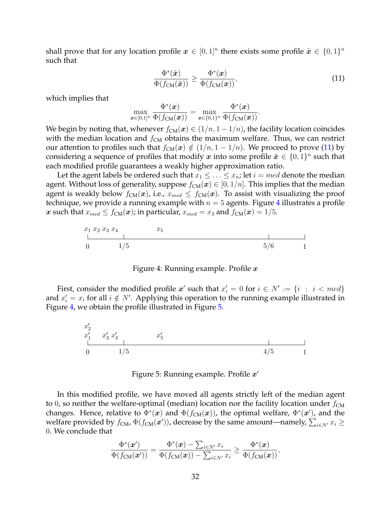shall prove that for any location profile  $\bm{x} \in [0,1]^n$  there exists some profile  $\tilde{\bm{x}} \in \{0,1\}^n$ such that

<span id="page-31-0"></span>
$$
\frac{\Phi^*(\tilde{\boldsymbol{x}})}{\Phi(f_{\text{CM}}(\tilde{\boldsymbol{x}}))} \ge \frac{\Phi^*(\boldsymbol{x})}{\Phi(f_{\text{CM}}(\boldsymbol{x}))},\tag{11}
$$

which implies that

$$
\max_{\boldsymbol{x}\in[0,1]^n}\frac{\Phi^*(\boldsymbol{x})}{\Phi(f_{\mathsf{CM}}(\boldsymbol{x}))}=\max_{\boldsymbol{x}\in\{0,1\}^n}\frac{\Phi^*(\boldsymbol{x})}{\Phi(f_{\mathsf{CM}}(\boldsymbol{x}))}.
$$

We begin by noting that, whenever  $f_{CM}(x) \in (1/n, 1 - 1/n)$ , the facility location coincides with the median location and  $f_{CM}$  obtains the maximum welfare. Thus, we can restrict our attention to profiles such that  $f_{CM}(x) \notin (1/n, 1 - 1/n)$ . We proceed to prove [\(11\)](#page-31-0) by considering a sequence of profiles that modify  $\bm{x}$  into some profile  $\tilde{\bm{x}} \in \{0,1\}^n$  such that each modified profile guarantees a weakly higher approximation ratio.

Let the agent labels be ordered such that  $x_1 \leq \ldots \leq x_n$ ; let  $i = med$  denote the median agent. Without loss of generality, suppose  $f_{CM}(x) \in [0, 1/n]$ . This implies that the median agent is weakly below  $f_{CM}(x)$ , i.e.,  $x_{med} \le f_{CM}(x)$ . To assist with visualizing the proof technique, we provide a running example with  $n = 5$  agents. Figure [4](#page-31-1) illustrates a profile x such that  $x_{med} \le f_{CM}(x)$ ; in particular,  $x_{med} = x_3$  and  $f_{CM}(x) = 1/5$ .

<span id="page-31-1"></span>

Figure 4: Running example. Profile  $x$ 

<span id="page-31-2"></span>First, consider the modified profile  $x'$  such that  $x'_i = 0$  for  $i \in N' := \{i : i < \text{med}\}$ and  $x'_i = x_i$  for all  $i \notin N'$ . Applying this operation to the running example illustrated in Figure [4,](#page-31-1) we obtain the profile illustrated in Figure [5.](#page-31-2)

$$
\begin{array}{ccc}\nx'_2 \\
x'_1 & x'_3 \ x'_4 & x'_5\n\end{array}
$$
\n0\n
$$
\begin{array}{ccc}\nx'_1 & x'_3 & x'_4 & x'_5\n\end{array}
$$
\n4/5\n1

Figure 5: Running example. Profile  $x'$ 

In this modified profile, we have moved all agents strictly left of the median agent to 0, so neither the welfare-optimal (median) location nor the facility location under  $f_{CM}$ changes. Hence, relative to  $\Phi^*(x)$  and  $\Phi(f_{CM}(x))$ , the optimal welfare,  $\Phi^*(x')$ , and the welfare provided by  $f_{CM}$ ,  $\Phi(f_{CM}(\mathbf{x}'))$ , decrease by the same amount—namely,  $\sum_{i\in N'} x_i \geq 0$ 0. We conclude that

$$
\frac{\Phi^*(\mathbf{x}')}{\Phi(f_\mathrm{CM}(\mathbf{x}'))} = \frac{\Phi^*(\mathbf{x}) - \sum_{i \in N'} x_i}{\Phi(f_\mathrm{CM}(\mathbf{x})) - \sum_{i \in N'} x_i} \geq \frac{\Phi^*(\mathbf{x})}{\Phi(f_\mathrm{CM}(\mathbf{x}))},
$$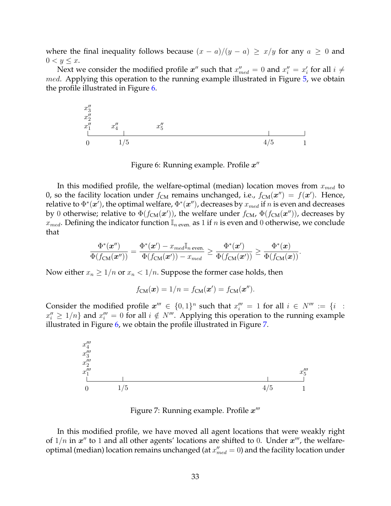where the final inequality follows because  $(x - a)/(y - a) \ge x/y$  for any  $a \ge 0$  and  $0 < y \leq x$ .

Next we consider the modified profile  $x''$  such that  $x''_{med} = 0$  and  $x''_i = x'_i$  for all  $i \neq j$ med. Applying this operation to the running example illustrated in Figure [5,](#page-31-2) we obtain the profile illustrated in Figure [6.](#page-32-0)

<span id="page-32-0"></span>

Figure 6: Running example. Profile  $x''$ 

In this modified profile, the welfare-optimal (median) location moves from  $x_{med}$  to 0, so the facility location under  $f_{\text{CM}}$  remains unchanged, i.e.,  $f_{\text{CM}}(\boldsymbol{x}'') = f(\boldsymbol{x}')$ . Hence, relative to  $\Phi^*(\bm{x}')$ , the optimal welfare,  $\Phi^*(\bm{x}'')$ , decreases by  $x_{med}$  if  $n$  is even and decreases by 0 otherwise; relative to  $\Phi(f_{\text{CM}}({\bm{x}}'))$ , the welfare under  $f_{\text{CM}}$ ,  $\Phi(f_{\text{CM}}({\bm{x}}''))$ , decreases by  $x_{med}$ . Defining the indicator function  $\mathbb{I}_{n \text{ even}}$  as 1 if n is even and 0 otherwise, we conclude that

$$
\frac{\Phi^*(\bm{x}'')}{\Phi(f_\mathsf{CM}(\bm{x}''))} = \frac{\Phi^*(\bm{x}') - x_\mathsf{med} \mathbb{I}_n\, \mathrm{even.}}{\Phi(f_\mathsf{CM}(\bm{x}')) - x_\mathsf{med}} \geq \frac{\Phi^*(\bm{x}')}{\Phi(f_\mathsf{CM}(\bm{x}'))} \geq \frac{\Phi^*(\bm{x})}{\Phi(f_\mathsf{CM}(\bm{x}))}.
$$

Now either  $x_n \geq 1/n$  or  $x_n < 1/n$ . Suppose the former case holds, then

$$
f_{CM}(\boldsymbol{x}) = 1/n = f_{CM}(\boldsymbol{x}') = f_{CM}(\boldsymbol{x}'').
$$

Consider the modified profile  $x^{\prime\prime\prime} \in \{0,1\}^n$  such that  $x^{\prime\prime\prime} = 1$  for all  $i \in N^{\prime\prime\prime} := \{i :$  $x_i'' \geq 1/n$ } and  $x_i''' = 0$  for all  $i \notin N'''$ . Applying this operation to the running example illustrated in Figure [6,](#page-32-0) we obtain the profile illustrated in Figure [7.](#page-32-1)

<span id="page-32-1"></span>

Figure 7: Running example. Profile  $x'''$ 

In this modified profile, we have moved all agent locations that were weakly right of  $1/n$  in  $x''$  to 1 and all other agents' locations are shifted to 0. Under  $x'''$ , the welfareoptimal (median) location remains unchanged (at  $x''_{med} = 0$ ) and the facility location under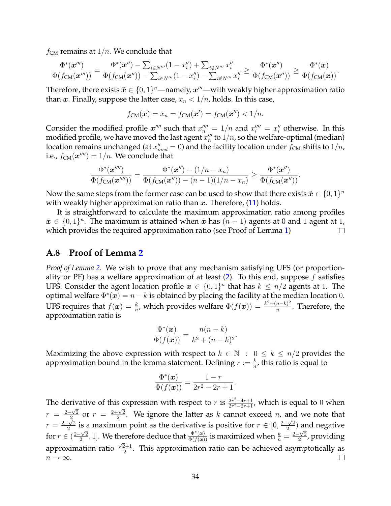$f_{CM}$  remains at  $1/n$ . We conclude that

$$
\frac{\Phi^*(\mathbf{x}''')}{\Phi(f_{\text{CM}}(\mathbf{x}'''))} = \frac{\Phi^*(\mathbf{x}'') - \sum_{i \in N'''} (1 - x''_i) + \sum_{i \notin N'''} x''_i}{\Phi(f_{\text{CM}}(\mathbf{x}'')) - \sum_{i \in N'''} (1 - x''_i) - \sum_{i \notin N'''} x''_i} \ge \frac{\Phi^*(\mathbf{x}'')}{\Phi(f_{\text{CM}}(\mathbf{x}''))} \ge \frac{\Phi^*(\mathbf{x})}{\Phi(f_{\text{CM}}(\mathbf{x}))}.
$$

Therefore, there exists  $\tilde{x} \in \{0,1\}^n$ —namely,  $x'''$ —with weakly higher approximation ratio than x. Finally, suppose the latter case,  $x_n < 1/n$ , holds. In this case,

$$
f_{\text{CM}}(\boldsymbol{x}) = x_n = f_{\text{CM}}(\boldsymbol{x}') = f_{\text{CM}}(\boldsymbol{x}'') < 1/n.
$$

Consider the modified profile  $x^{\prime\prime\prime\prime}$  such that  $x^{\prime\prime\prime\prime}_n = 1/n$  and  $x^{\prime\prime\prime\prime}_i = x^{\prime\prime}_i$  otherwise. In this modified profile, we have moved the last agent  $x_n'''$  to  $1/n$ , so the welfare-optimal (median) location remains unchanged (at  $x''_{med} = 0$ ) and the facility location under  $f_\mathsf{CM}$  shifts to  $1/n$ , i.e.,  $f_{\text{CM}}(\boldsymbol{x}^{\prime\prime\prime\prime})=1/n$ . We conclude that

$$
\frac{\Phi^*(\mathbf{x}'''')}{\Phi(f_{\text{CM}}(\mathbf{x}''''))} = \frac{\Phi^*(\mathbf{x}'') - (1/n - x_n)}{\Phi(f_{\text{CM}}(\mathbf{x}'')) - (n-1)(1/n - x_n)} \ge \frac{\Phi^*(\mathbf{x}'')}{\Phi(f_{\text{CM}}(\mathbf{x}''))}.
$$

Now the same steps from the former case can be used to show that there exists  $\tilde{\bm{x}} \in \{0,1\}^n$ with weakly higher approximation ratio than x. Therefore,  $(11)$  holds.

It is straightforward to calculate the maximum approximation ratio among profiles  $\tilde{x} \in \{0,1\}^n$ . The maximum is attained when  $\tilde{x}$  has  $(n-1)$  agents at 0 and 1 agent at 1, which provides the required approximation ratio (see Proof of Lemma [1\)](#page-17-0)  $\Box$ 

#### <span id="page-33-0"></span>**A.8 Proof of Lemma [2](#page-18-1)**

*Proof of Lemma [2.](#page-18-1)* We wish to prove that any mechanism satisfying UFS (or proportionality or PF) has a welfare approximation of at least  $(2)$ . To this end, suppose f satisfies UFS. Consider the agent location profile  $x \in \{0,1\}^n$  that has  $k \leq n/2$  agents at 1. The optimal welfare  $\Phi^*(x) = n - k$  is obtained by placing the facility at the median location 0. UFS requires that  $f(x) = \frac{k}{n}$ , which provides welfare  $\Phi(f(x)) = \frac{k^2 + (n-k)^2}{n}$  $\frac{n-\kappa}{n}$ . Therefore, the approximation ratio is

$$
\frac{\Phi^*(\boldsymbol{x})}{\Phi(f(\boldsymbol{x}))} = \frac{n(n-k)}{k^2 + (n-k)^2}.
$$

Maximizing the above expression with respect to  $k \in \mathbb{N} : 0 \leq k \leq n/2$  provides the approximation bound in the lemma statement. Defining  $r := \frac{k}{n}$ , this ratio is equal to

$$
\frac{\Phi^*(x)}{\Phi(f(x))} = \frac{1-r}{2r^2 - 2r + 1}.
$$

The derivative of this expression with respect to r is  $\frac{2r^2-4r+1}{2r^2-2r+1}$  $\frac{2r^2-4r+1}{2r^2-2r+1}$ , which is equal to 0 when  $r = \frac{2-\sqrt{2}}{2}$  $\frac{\sqrt{2}}{2}$  or  $r = \frac{2+\sqrt{2}}{2}$  $\frac{-\sqrt{2}}{2}$  or  $r = \frac{2+\sqrt{2}}{2}$ . We ignore the latter as k cannot exceed n, and we note that  $r = \frac{2-\sqrt{2}}{2}$  $\frac{\sqrt{2}}{2}$  is a maximum point as the derivative is positive for  $r \in [0, \frac{2-\sqrt{2}}{2}]$ s a maximum point as the derivative is positive for  $r \in [0, \frac{2-\sqrt{2}}{2})$  and negative  $\frac{1}{2}$  $\frac{\sqrt{2}}{2}$ , 1]. We therefore deduce that  $\frac{\Phi^*(x)}{\Phi(f(x))}$  is maximized when  $\frac{k}{n} = \frac{2-\sqrt{2}}{2}$ for  $r \in (\frac{2-\sqrt{2}}{2})$ herefore deduce that  $\frac{\Psi^{\square}(x)}{\Phi(f(x))}$  is maximized when  $\frac{k}{n} = \frac{2-\sqrt{2}}{2}$ , providing approximation ratio  $\frac{\sqrt{2}+1}{2}$  $\frac{2+1}{2}$ . This approximation ratio can be achieved asymptotically as  $n \to \infty$ .  $\Box$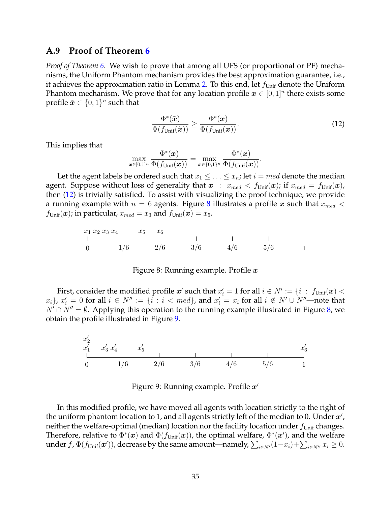#### <span id="page-34-0"></span>**A.9 Proof of Theorem [6](#page-18-3)**

*Proof of Theorem [6.](#page-18-3)* We wish to prove that among all UFS (or proportional or PF) mechanisms, the Uniform Phantom mechanism provides the best approximation guarantee, i.e., it achieves the approximation ratio in Lemma [2.](#page-18-1) To this end, let  $f_{\text{Unit}}$  denote the Uniform Phantom mechanism. We prove that for any location profile  $\boldsymbol{x} \in [0,1]^n$  there exists some profile  $\tilde{\boldsymbol{x}} \in \{0,1\}^n$  such that

<span id="page-34-1"></span>
$$
\frac{\Phi^*(\tilde{\boldsymbol{x}})}{\Phi(f_{\text{Unif}}(\tilde{\boldsymbol{x}}))} \ge \frac{\Phi^*(\boldsymbol{x})}{\Phi(f_{\text{Unif}}(\boldsymbol{x}))}.\tag{12}
$$

This implies that

$$
\max_{\boldsymbol{x}\in[0,1]^n} \frac{\Phi^*(\boldsymbol{x})}{\Phi(f_{\mathsf{Unif}}(\boldsymbol{x}))} = \max_{\boldsymbol{x}\in\{0,1\}^n} \frac{\Phi^*(\boldsymbol{x})}{\Phi(f_{\mathsf{Unif}}(\boldsymbol{x}))}.
$$

Let the agent labels be ordered such that  $x_1 \leq \ldots \leq x_n$ ; let  $i = med$  denote the median agent. Suppose without loss of generality that  $x : x_{med} < f_{Unit}(x)$ ; if  $x_{med} = f_{Unit}(x)$ , then [\(12\)](#page-34-1) is trivially satisfied. To assist with visualizing the proof technique, we provide a running example with  $n = 6$  agents. Figure [8](#page-34-2) illustrates a profile x such that  $x_{med} <$  $f_{\text{Unif}}({\bm{x}})$ ; in particular,  $x_{med} = x_3$  and  $f_{\text{Unif}}({\bm{x}}) = x_5$ .

<span id="page-34-2"></span>

Figure 8: Running example. Profile  $x$ 

First, consider the modified profile  $\bm{x}'$  such that  $x'_i = 1$  for all  $i \in N' := \{i \; : \; f_{\text{Unif}}(\bm{x}) < \bar{f}_{\text{Unif}}(\bm{x})\}$  $\{x_i\}$ ,  $x'_i = 0$  for all  $i \in N'' := \{i : i < med\}$ , and  $x'_i = x_i$  for all  $i \notin N' \cup N''$ —note that  $N' \cap N'' = \emptyset$ . Applying this operation to the running example illustrated in Figure [8,](#page-34-2) we obtain the profile illustrated in Figure [9.](#page-34-3)

<span id="page-34-3"></span>

Figure 9: Running example. Profile  $x'$ 

In this modified profile, we have moved all agents with location strictly to the right of the uniform phantom location to 1, and all agents strictly left of the median to 0. Under  $x'$ , neither the welfare-optimal (median) location nor the facility location under  $f_{\text{Unif}}$  changes. Therefore, relative to  $\Phi^*(x)$  and  $\Phi(f_{\text{Unif}}(x))$ , the optimal welfare,  $\Phi^*(x')$ , and the welfare under  $f$ ,  $\Phi(f_{\text{Unif}}({\bm{x}}'))$ , decrease by the same amount—namely,  $\sum_{i\in N'}(1-x_i)+\sum_{i\in N''}x_i\geq 0.$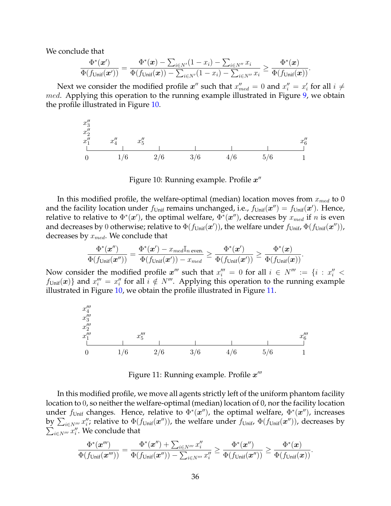We conclude that

$$
\frac{\Phi^*(\boldsymbol{x}')}{\Phi(f_{\text{Unif}}(\boldsymbol{x}'))} = \frac{\Phi^*(\boldsymbol{x}) - \sum_{i \in N'} (1 - x_i) - \sum_{i \in N''} x_i}{\Phi(f_{\text{Unif}}(\boldsymbol{x})) - \sum_{i \in N'} (1 - x_i) - \sum_{i \in N''} x_i} \ge \frac{\Phi^*(\boldsymbol{x})}{\Phi(f_{\text{Unif}}(\boldsymbol{x}))}.
$$

Next we consider the modified profile  $x''$  such that  $x''_{med} = 0$  and  $x''_i = x'_i$  for all  $i \neq j$ med. Applying this operation to the running example illustrated in Figure [9,](#page-34-3) we obtain the profile illustrated in Figure [10.](#page-35-0)

<span id="page-35-0"></span>

Figure 10: Running example. Profile  $x''$ 

In this modified profile, the welfare-optimal (median) location moves from  $x_{med}$  to 0 and the facility location under  $f_{\text{Unif}}$  remains unchanged, i.e.,  $f_{\text{Unif}}(\bm{x}'') = f_{\text{Unif}}(\bm{x}')$ . Hence, relative to relative to  $\Phi^*(x')$ , the optimal welfare,  $\Phi^*(x'')$ , decreases by  $x_{med}$  if  $n$  is even and decreases by 0 otherwise; relative to  $\Phi(f_{\sf Unif}({\bm x}'))$ , the welfare under  $f_{\sf Unif}$ ,  $\Phi(f_{\sf Unif}({\bm x}''))$ , decreases by  $\boldsymbol{x_{med}}.$  We conclude that

$$
\frac{\Phi^*(\bm x'')}{\Phi(f_{\mathsf{Unif}}(\bm x''))}=\frac{\Phi^*(\bm x')-x_{med}\mathbb{I}_{n \text{ even.}}}{\Phi(f_{\mathsf{Unif}}(\bm x'))-x_{med}}\geq \frac{\Phi^*(\bm x')}{\Phi(f_{\mathsf{Unif}}(\bm x'))}\geq \frac{\Phi^*(\bm x)}{\Phi(f_{\mathsf{Unif}}(\bm x))}.
$$

Now consider the modified profile  $x^{\prime\prime\prime}$  such that  $x^{\prime\prime\prime}_i = 0$  for all  $i \in N^{\prime\prime\prime} := \{i : x^{\prime\prime}_i < j \}$  $f_{\text{Unif}}({\bm{x}})$  and  $x_i''' = x_i''$  for all  $i \notin N'''$ . Applying this operation to the running example illustrated in Figure [10,](#page-35-0) we obtain the profile illustrated in Figure [11.](#page-35-1)

<span id="page-35-1"></span>

Figure 11: Running example. Profile  $x^{\prime\prime\prime}$ 

In this modified profile, we move all agents strictly left of the uniform phantom facility location to 0, so neither the welfare-optimal (median) location of 0, nor the facility location under  $f_{\text{Unif}}$  changes. Hence, relative to  $\Phi^*(x'')$ , the optimal welfare,  $\Phi^*(x'')$ , increases by  $\sum_{i\in N'''}x''_i$ ; relative to  $\Phi(f_{\text{Unif}}({\bm{x}}''))$ , the welfare under  $f_{\text{Unif}}$ ,  $\Phi(f_{\text{Unif}}({\bm{x}}''))$ , decreases by  $\sum_{i \in N'''} x''_i$ . We conclude that

$$
\frac{\Phi^*(\boldsymbol{x}''')}{\Phi(f_{\text{Unif}}(\boldsymbol{x}'''))} = \frac{\Phi^*(\boldsymbol{x}'') + \sum_{i \in N'''} x_i''}{\Phi(f_{\text{Unif}}(\boldsymbol{x}'')) - \sum_{i \in N'''} x_i''} \geq \frac{\Phi^*(\boldsymbol{x}'')}{\Phi(f_{\text{Unif}}(\boldsymbol{x}''))} \geq \frac{\Phi^*(\boldsymbol{x})}{\Phi(f_{\text{Unif}}(\boldsymbol{x}))}.
$$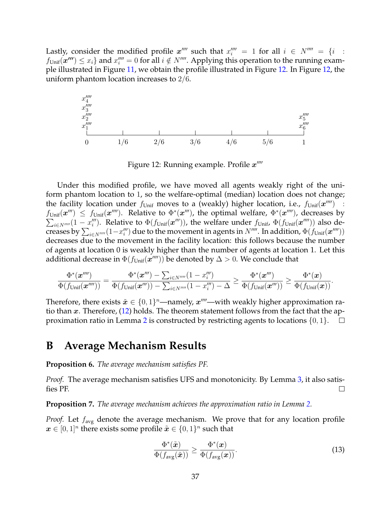Lastly, consider the modified profile  $x''''$  such that  $x'''_i = 1$  for all  $i \in N'''' = \{i :$  $f_{\text{Unif}}(\mathbf{x''}) \leq x_i$ } and  $x'''_i = 0$  for all  $i \notin N''''$ . Applying this operation to the running example illustrated in Figure [11,](#page-35-1) we obtain the profile illustrated in Figure [12.](#page-36-2) In Figure [12,](#page-36-2) the uniform phantom location increases to 2/6.

<span id="page-36-2"></span>

Figure 12: Running example. Profile  $x^{\prime\prime\prime\prime}$ 

Under this modified profile, we have moved all agents weakly right of the uniform phantom location to 1, so the welfare-optimal (median) location does not change; the facility location under  $f_{\text{Unif}}$  moves to a (weakly) higher location, i.e.,  $f_{\text{Unif}}(\bm{x}''')$  :  $f_{\text{Unif}}(\bm{x}^{\prime\prime\prime}) \leq f_{\text{Unif}}(\bm{x}^{\prime\prime\prime\prime})$ . Relative to  $\Phi^*(\bm{x}^{\prime\prime\prime})$ , the optimal welfare,  $\Phi^*(\bm{x}^{\prime\prime\prime\prime})$ , decreases by  $\sum_{i\in N''''}(1-x''_i)$ . Relative to  $\Phi(f_{\text{Unif}}(\mathbf{x}'''))$ , the welfare under  $f_{\text{Unif}}$ ,  $\Phi(f_{\text{Unif}}(\mathbf{x}''''))$  also decreases by  $\sum_{i\in N''''}(1-x''_i)$  due to the movement in agents in  $N''''$ . In addition,  $\Phi(f_{\text{Unif}}({\bm{x}}''''))$ decreases due to the movement in the facility location: this follows because the number of agents at location 0 is weakly higher than the number of agents at location 1. Let this additional decrease in  $\Phi(f_\mathsf{Unif}(\bm{x}'''))$  be denoted by  $\Delta>0.$  We conclude that

$$
\frac{\Phi^*(\boldsymbol{x}''')}{\Phi(f_{\text{Unif}}(\boldsymbol{x}''''))} = \frac{\Phi^*(\boldsymbol{x}''') - \sum_{i \in N''''} (1-x''_i)}{\Phi(f_{\text{Unif}}(\boldsymbol{x}''')) - \sum_{i \in N''''} (1-x''_i) - \Delta} \ge \frac{\Phi^*(\boldsymbol{x}''')}{\Phi(f_{\text{Unif}}(\boldsymbol{x}'''))} \ge \frac{\Phi^*(\boldsymbol{x})}{\Phi(f_{\text{Unif}}(\boldsymbol{x}))}.
$$

Therefore, there exists  $\tilde{x} \in \{0,1\}^n$ —namely,  $x''''$ —with weakly higher approximation ratio than x. Therefore,  $(12)$  holds. The theorem statement follows from the fact that the ap-proximation ratio in Lemma [2](#page-18-1) is constructed by restricting agents to locations  $\{0, 1\}$ .  $\Box$ 

### <span id="page-36-1"></span>**B Average Mechanism Results**

<span id="page-36-0"></span>**Proposition 6.** *The average mechanism satisfies PF.*

*Proof.* The average mechanism satisfies UFS and monotonicity. By Lemma [3,](#page-25-2) it also satisfies PF.  $\Box$ 

**Proposition 7.** *The average mechanism achieves the approximation ratio in Lemma [2.](#page-18-1)*

*Proof.* Let  $f_{\text{avg}}$  denote the average mechanism. We prove that for any location profile  $\boldsymbol{x} \in [0,1]^n$  there exists some profile  $\tilde{\boldsymbol{x}} \in \{0,1\}^n$  such that

<span id="page-36-3"></span>
$$
\frac{\Phi^*(\tilde{\boldsymbol{x}})}{\Phi(f_{\text{avg}}(\tilde{\boldsymbol{x}}))} \ge \frac{\Phi^*(\boldsymbol{x})}{\Phi(f_{\text{avg}}(\boldsymbol{x}))}.\tag{13}
$$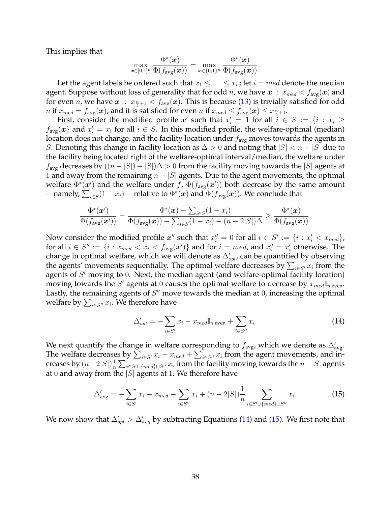This implies that

$$
\max_{\boldsymbol{x}\in[0,1]^n} \frac{\Phi^*(\boldsymbol{x})}{\Phi(f_{\text{avg}}(\boldsymbol{x}))} = \max_{\boldsymbol{x}\in\{0,1\}^n} \frac{\Phi^*(\boldsymbol{x})}{\Phi(f_{\text{avg}}(\boldsymbol{x}))}.
$$

Let the agent labels be ordered such that  $x_1 \leq \ldots \leq x_n$ ; let  $i = med$  denote the median agent. Suppose without loss of generality that for odd *n*, we have  $x : x_{med} < f_{avg}(x)$  and for even *n*, we have  $x$  :  $x_{\frac{n}{2}+1} < f_{\text{avg}}(x)$ . This is because [\(13\)](#page-36-3) is trivially satisfied for odd  $n$  if  $x_{med} = f_{\mathrm{avg}}(\bm{x})$ , and it is satisfied for even  $n$  if  $x_{med} \leq f_{\mathrm{avg}}(\bm{x}) \leq x_{\frac{n}{2}+1}.$ 

First, consider the modified profile  $x'$  such that  $x'_i = 1$  for all  $i \in S := \{i : x_i \geq 1\}$  $f_{\text{avg}}(x)$  and  $x_i' = x_i$  for all  $i \in S$ . In this modified profile, the welfare-optimal (median) location does not change, and the facility location under  $f_{\text{avg}}$  moves towards the agents in S. Denoting this change in facility location as  $\Delta > 0$  and noting that  $|S| < n - |S|$  due to the facility being located right of the welfare-optimal interval/median, the welfare under  $f_{\text{avg}}$  decreases by  $((n - |S|) - |S|)\Delta > 0$  from the facility moving towards the |S| agents at 1 and away from the remaining  $n - |S|$  agents. Due to the agent movements, the optimal welfare  $\Phi^*(x')$  and the welfare under f,  $\Phi(f_{\text{avg}}(x'))$  both decrease by the same amount —namely,  $\sum_{i\in S}(1-x_i)$ — relative to  $\Phi^*(\bm{x})$  and  $\Phi(f_{\rm avg}(\bm{x}))$ . We conclude that

$$
\frac{\Phi^*(\boldsymbol{x}')}{\Phi(f_{\text{avg}}(\boldsymbol{x}'))} = \frac{\Phi^*(\boldsymbol{x}) - \sum_{i \in S} (1 - x_i)}{\Phi(f_{\text{avg}}(\boldsymbol{x})) - \sum_{i \in S} (1 - x_i) - (n - 2|S|)\Delta} \ge \frac{\Phi^*(\boldsymbol{x})}{\Phi(f_{\text{avg}}(\boldsymbol{x}))}.
$$

Now consider the modified profile  $x''$  such that  $x''_i = 0$  for all  $i \in S' := \{i : x'_i < x_{med}\}$ , for all  $i \in S'' := \{i : x_{med} < x_i < f_{avg}(\boldsymbol{x}')\}$  and for  $i = med$ , and  $x''_i = x'_i$  otherwise. The change in optimal welfare, which we will denote as  $\Delta'_{opt}$ , can be quantified by observing the agents' movements sequentially. The optimal welfare decreases by  $\sum_{i \in S'} x_i$  from the agents of  $S'$  moving to 0. Next, the median agent (and welfare-optimal facility location) moving towards the S' agents at 0 causes the optimal welfare to decrease by  $x_{med}\mathbb{I}_{n \text{ even}}$ . Lastly, the remaining agents of  $S''$  move towards the median at  $0$ , increasing the optimal welfare by  $\sum_{i \in S''} x_i.$  We therefore have

<span id="page-37-1"></span><span id="page-37-0"></span>
$$
\Delta'_{opt} = -\sum_{i \in S'} x_i - x_{med} \mathbb{I}_{n \text{ even}} + \sum_{i \in S''} x_i.
$$
\n(14)

We next quantify the change in welfare corresponding to  $f_{\text{avg}}$ , which we denote as  $\Delta'_{\text{avg}}$ . The welfare decreases by  $\sum_{i \in S'} x_i + x_{med} + \sum_{i \in S''} x_i$  from the agent movements, and increases by  $(n-2|S|)\frac{1}{n}$  $\frac{1}{n}\sum_{i\in S'\cup\{med\}\cup S''}x_i$  from the facility moving towards the  $n-|S|$  agents at 0 and away from the  $|S|$  agents at 1. We therefore have

$$
\Delta'_{\text{avg}} = -\sum_{i \in S'} x_i - x_{\text{med}} - \sum_{i \in S''} x_i + (n - 2|S|) \frac{1}{n} \sum_{i \in S' \cup \{\text{med}\} \cup S''} x_i.
$$
 (15)

We now show that  $\Delta'_{opt} > \Delta'_{avg}$  by subtracting Equations [\(14\)](#page-37-0) and [\(15\)](#page-37-1). We first note that